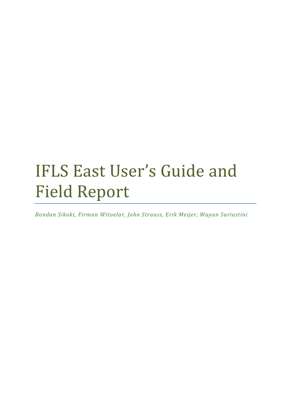# IFLS East User's Guide and Field Report

*Bondan Sikoki, Firman Witoelar, John Strauss, Erik Meijer, Wayan Suriastini*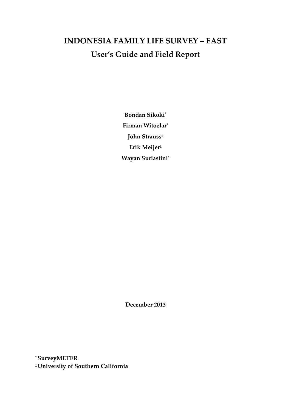## **INDONESIA FAMILY LIFE SURVEY – EAST User's Guide and Field Report**

**Bondan Sikoki\* Firman Witoelar\* John Strauss‡ Erik Meijer‡ Wayan Suriastini\***

**December 2013** 

**\* SurveyMETER ‡University of Southern California**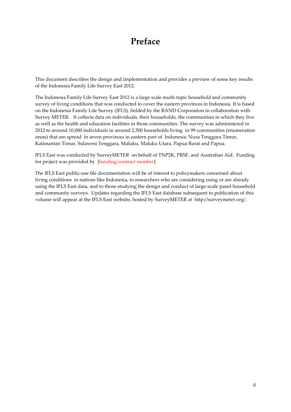## **Preface**

This document describes the design and implementation and provides a preview of some key results of the Indonesia Family Life Survey East 2012.

The Indonesia Family Life Survey East 2012 is a large scale multi-topic household and community survey of living conditions that was conducted to cover the eastern provinces in Indonesia. It is based on the Indonesia Family Life Survey (IFLS), fielded by the RAND Corporation in collaboration with Survey METER. It collects data on individuals, their households, the communities in which they live as well as the health and education facilities in those communities. The survey was administered in 2012 to around 10,000 individuals in around 2,500 households living in 99 communities (enumeration areas) that are spread in seven provinces in eastern part of Indonesia: Nusa Tenggara Timur, Kalimantan Timur, Sulawesi Tenggara, Maluku, Maluku Utara, Papua Barat and Papua.

IFLS East was conducted by SurveyMETER on behalf of TNP2K, PRSF, and Australian Aid. Funding for project was provided by [funding/contract number]

The IFLS East public-use file documentation will be of interest to policymakers concerned about living conditions in nations like Indonesia, to researchers who are considering using or are already using the IFLS East data, and to those studying the design and conduct of large-scale panel household and community surveys. Updates regarding the IFLS East database subsequent to publication of this volume will appear at the IFLS East website, hosted by SurveyMETER at http://surveymeter.org/.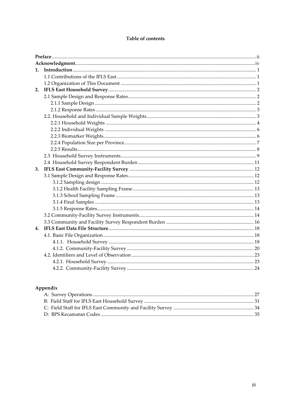#### Table of contents

## Appendix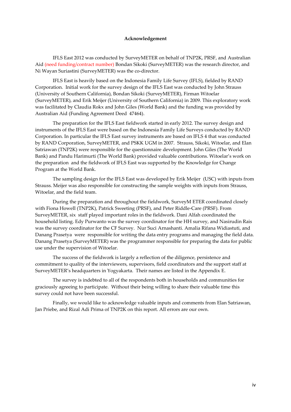#### **Acknowledgement**

IFLS East 2012 was conducted by SurveyMETER on behalf of TNP2K, PRSF, and Australian Aid (need funding/contract number) Bondan Sikoki (SurveyMETER) was the research director, and Ni Wayan Suriastini (SurveyMETER) was the co-director.

IFLS East is heavily based on the Indonesia Family Life Survey (IFLS), fielded by RAND Corporation. Initial work for the survey design of the IFLS East was conducted by John Strauss (University of Southern California), Bondan Sikoki (SurveyMETER), Firman Witoelar (SurveyMETER), and Erik Meijer (University of Southern California) in 2009. This exploratory work was facilitated by Claudia Rokx and John Giles (World Bank) and the funding was provided by Australian Aid (Funding Agreement Deed 47464).

The preparation for the IFLS East fieldwork started in early 2012. The survey design and instruments of the IFLS East were based on the Indonesia Family Life Surveys conducted by RAND Corporation. In particular the IFLS East survey instruments are based on IFLS 4 that was conducted by RAND Corporation, SurveyMETER, and PSKK UGM in 2007. Strauss, Sikoki, Witoelar, and Elan Satriawan (TNP2K) were responsible for the questionnaire development. John Giles (The World Bank) and Pandu Harimurti (The World Bank) provided valuable contributions. Witoelar's work on the preparation and the fieldwork of IFLS East was supported by the Knowledge for Change Program at the World Bank.

The sampling design for the IFLS East was developed by Erik Meijer (USC) with inputs from Strauss. Meijer was also responsible for constructing the sample weights with inputs from Strauss, Witoelar, and the field team.

During the preparation and throughout the fieldwork, SurveyM ETER coordinated closely with Fiona Howell (TNP2K), Patrick Sweeting (PRSF), and Peter Riddle-Care (PRSF). From SurveyMETER, six staff played important roles in the fieldwork. Dani Alfah coordinated the household listing. Edy Purwanto was the survey coordinator for the HH survey, and Nasirudin Rais was the survey coordinator for the CF Survey. Nur Suci Arnashanti. Amalia Rifana Widiastuti, and Danang Prasetya were responsible for writing the data entry programs and managing the field data. Danang Prasetya (SurveyMETER) was the programmer responsible for preparing the data for public use under the supervision of Witoelar.

The success of the fieldwork is largely a reflection of the diligence, persistence and commitment to quality of the interviewers, supervisors, field coordinators and the support staff at SurveyMETER's headquarters in Yogyakarta. Their names are listed in the Appendix E.

The survey is indebted to all of the respondents both in households and communities for graciously agreeing to participate. Without their being willing to share their valuable time this survey could not have been successful.

Finally, we would like to acknowledge valuable inputs and comments from Elan Satriawan, Jan Priebe, and Rizal Adi Prima of TNP2K on this report. All errors are our own.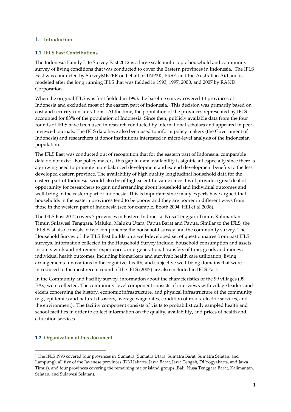#### **1. Introduction**

#### **1.1 IFLS East Contributions**

The Indonesia Family Life Survey East 2012 is a large scale multi-topic household and community survey of living conditions that was conducted to cover the Eastern provinces in Indonesia. The IFLS East was conducted by SurveyMETER on behalf of TNP2K, PRSF, and the Australian Aid and is modeled after the long running IFLS that was fielded in 1993, 1997, 2000, and 2007 by RAND Corporation.

When the original IFLS was first fielded in 1993, the baseline survey covered 13 provinces of Indonesia and excluded most of the eastern part of Indonesia.<sup>1</sup> This decision was primarily based on cost and security considerations. At the time, the population of the provinces represented by IFLS accounted for 83% of the population of Indonesia. Since then, publicly available data from the four rounds of IFLS have been used in research conducted by international scholars and appeared in peerreviewed journals. The IFLS data have also been used to inform policy makers (the Government of Indonesia) and researchers at donor institutions interested in micro-level analysis of the Indonesian population.

The IFLS East was conducted out of recognition that for the eastern part of Indonesia, comparable data do not exist. For policy makers, this gap in data availability is significant especially since there is a growing need to promote more balanced development and extend development benefits to the less developed eastern province. The availability of high quality longitudinal household data for the eastern part of Indonesia would also be of high scientific value since it will provide a great deal of opportunity for researchers to gain understanding about household and individual outcomes and well-being in the eastern part of Indonesia. This is important since many experts have argued that households in the eastern provinces tend to be poorer and they are poorer in different ways from those in the western part of Indonesia (see for example, Booth 2004, Hill et al 2008).

The IFLS East 2012 covers 7 provinces in Eastern Indonesia: Nusa Tenggara Timur, Kalimantan Timur, Sulawesi Tenggara, Maluku, Maluku Utara, Papua Barat and Papua. Similar to the IFLS, the IFLS East also consists of two components: the household survey and the community survey. The Household Survey of the IFLS East builds on a well-developed set of questionnaires from past IFLS surveys. Information collected in the Household Survey include: household consumption and assets; income, work and retirement experiences; intergenerational transfers of time, goods and money; individual health outcomes, including biomarkers and survival; health care utilization; living arrangements Innovations in the cognitive, health, and subjective well-being domains that were introduced to the most recent round of the IFLS (2007) are also included in IFLS East.

In the Community and Facility survey, information about the characteristics of the 99 villages (99 EAs) were collected. The community-level component consists of interviews with village leaders and elders concerning the history, economic infrastructure, and physical infrastructure of the community (e.g., epidemics and natural disasters, average wage rates, condition of roads, electric services, and the environment). The facility component consists of visits to probabilistically sampled health and school facilities in order to collect information on the quality, availability, and prices of health and education services.

#### **1.2 Organization of this document**

 $\overline{a}$ 

<sup>1</sup> The IFLS 1993 covered four provinces in Sumatra (Sumatra Utara, Sumatra Barat, Sumatra Selatan, and Lampung), all five of the Javanese provinces (DKI Jakarta, Jawa Barat, Jawa Tengah, DI Yogyakarta, and Jawa Timur), and four provinces covering the remaining major island groups (Bali, Nusa Tenggara Barat, Kalimantan, Selatan, and Sulawesi Selatan).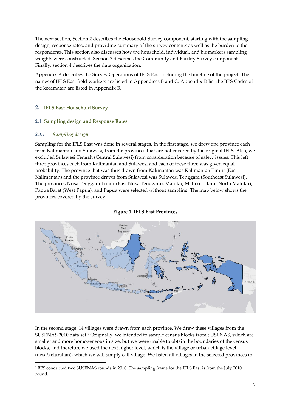The next section, Section 2 describes the Household Survey component, starting with the sampling design, response rates, and providing summary of the survey contents as well as the burden to the respondents. This section also discusses how the household, individual, and biomarkers sampling weights were constructed. Section 3 describes the Community and Facility Survey component. Finally, section 4 describes the data organization.

Appendix A describes the Survey Operations of IFLS East including the timeline of the project. The names of IFLS East field workers are listed in Appendices B and C. Appendix D list the BPS Codes of the kecamatan are listed in Appendix B.

#### **2. IFLS East Household Survey**

#### **2.1 Sampling design and Response Rates**

#### *2.1.1 Sampling design*

 $\overline{a}$ 

Sampling for the IFLS East was done in several stages. In the first stage, we drew one province each from Kalimantan and Sulawesi, from the provinces that are not covered by the original IFLS. Also, we excluded Sulawesi Tengah (Central Sulawesi) from consideration because of safety issues. This left three provinces each from Kalimantan and Sulawesi and each of these three was given equal probability. The province that was thus drawn from Kalimantan was Kalimantan Timur (East Kalimantan) and the province drawn from Sulawesi was Sulawesi Tenggara (Southeast Sulawesi). The provinces Nusa Tenggara Timur (East Nusa Tenggara), Maluku, Maluku Utara (North Maluku), Papua Barat (West Papua), and Papua were selected without sampling. The map below shows the provinces covered by the survey.



#### **Figure 1. IFLS East Provinces**

In the second stage, 14 villages were drawn from each province. We drew these villages from the SUSENAS 2010 data set.<sup>2</sup> Originally, we intended to sample census blocks from SUSENAS, which are smaller and more homogeneous in size, but we were unable to obtain the boundaries of the census blocks, and therefore we used the next higher level, which is the village or urban village level (desa/kelurahan), which we will simply call village. We listed all villages in the selected provinces in

<sup>2</sup> BPS conducted two SUSENAS rounds in 2010. The sampling frame for the IFLS East is from the July 2010 round.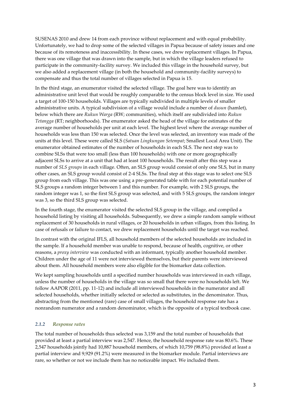SUSENAS 2010 and drew 14 from each province without replacement and with equal probability. Unfortunately, we had to drop some of the selected villages in Papua because of safety issues and one because of its remoteness and inaccessibility. In these cases, we drew replacement villages. In Papua, there was one village that was drawn into the sample, but in which the village leaders refused to participate in the community-facility survey. We included this village in the household survey, but we also added a replacement village (in both the household and community-facility surveys) to compensate and thus the total number of villages selected in Papua is 15.

In the third stage, an enumerator visited the selected village. The goal here was to identify an administrative unit level that would be roughly comparable to the census block level in size. We used a target of 100-150 households. Villages are typically subdivided in multiple levels of smaller administrative units. A typical subdivision of a village would include a number of *dusun* (hamlet), below which there are *Rukun Warga* (RW; communities), which itself are subdivided into *Rukun Tetangga* (RT; neighborhoods). The enumerator asked the head of the village for estimates of the average number of households per unit at each level. The highest level where the average number of households was less than 150 was selected. Once the level was selected, an inventory was made of the units at this level. These were called SLS (*Satuan Lingkungan Setempat*; Smallest Local Area Unit). The enumerator obtained estimates of the number of households in each SLS. The next step was to combine SLSs that were too small (less than 100 households) with one or more geographically adjacent SLSs to arrive at a unit that had at least 100 households. The result after this step was a number of *SLS groups* in each village. Often, an SLS group would consist of only one SLS, but in many other cases, an SLS group would consist of 2-4 SLSs. The final step at this stage was to select one SLS group from each village. This was one using a pre-generated table with for each potential number of SLS groups a random integer between 1 and this number. For example, with 2 SLS groups, the random integer was 1, so the first SLS group was selected, and with 5 SLS groups, the random integer was 3, so the third SLS group was selected.

In the fourth stage, the enumerator visited the selected SLS group in the village, and compiled a household listing by visiting all households. Subsequently, we drew a simple random sample without replacement of 30 households in rural villages, or 20 households in urban villages, from this listing. In case of refusals or failure to contact, we drew replacement households until the target was reached.

In contrast with the original IFLS, all household members of the selected households are included in the sample. If a household member was unable to respond, because of health, cognitive, or other reasons, a *proxy interview* was conducted with an informant, typically another household member. Children under the age of 11 were not interviewed themselves, but their parents were interviewed about them. All household members were also eligible for the biomarker data collection.

We kept sampling households until a specified number households was interviewed in each village, unless the number of households in the village was so small that there were no households left. We follow AAPOR (2011, pp. 11-12) and include all interviewed households in the numerator and all selected households, whether initially selected or selected as substitutes, in the denominator. Thus, abstracting from the mentioned (rare) case of small villages, the household response rate has a nonrandom numerator and a random denominator, which is the opposite of a typical textbook case.

#### *2.1.2 Response rates*

The total number of households thus selected was 3,159 and the total number of households that provided at least a partial interview was 2,547. Hence, the household response rate was 80.6%. These 2,547 households jointly had 10,887 household members, of which 10,759 (98.8%) provided at least a partial interview and 9,929 (91.2%) were measured in the biomarker module. Partial interviews are rare, so whether or not we include them has no noticeable impact. We included them.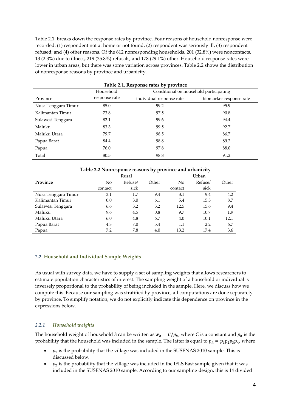Table 2.1 breaks down the response rates by province. Four reasons of household nonresponse were recorded: (1) respondent not at home or not found; (2) respondent was seriously ill; (3) respondent refused; and (4) other reasons. Of the 612 nonresponding households, 201 (32.8%) were noncontacts, 13 (2.3%) due to illness, 219 (35.8%) refusals, and 178 (29.1%) other. Household response rates were lower in urban areas, but there was some variation across provinces. Table 2.2 shows the distribution of nonresponse reasons by province and urbanicity.

| Table 2.1. Response rates by province               |               |                          |                         |  |  |  |
|-----------------------------------------------------|---------------|--------------------------|-------------------------|--|--|--|
| Household<br>Conditional on household participating |               |                          |                         |  |  |  |
| Province                                            | response rate | individual response rate | biomarker response rate |  |  |  |
| Nusa Tenggara Timur                                 | 85.0          | 99.2                     | 95.9                    |  |  |  |
| Kalimantan Timur                                    | 73.8          | 97.5                     | 90.8                    |  |  |  |
| Sulawesi Tenggara                                   | 82.1          | 99.6                     | 94.4                    |  |  |  |
| Maluku                                              | 83.3          | 99.5                     | 92.7                    |  |  |  |
| Maluku Utara                                        | 79.7          | 98.5                     | 86.7                    |  |  |  |
| Papua Barat                                         | 84.4          | 98.8                     | 89.2                    |  |  |  |
| Papua                                               | 76.0          | 97.8                     | 88.0                    |  |  |  |
| Total                                               | 80.5          | 98.8                     | 91.2                    |  |  |  |

| Table 2.2 Nonresponse reasons by province and urbanicity |         |         |       |         |         |       |  |  |
|----------------------------------------------------------|---------|---------|-------|---------|---------|-------|--|--|
|                                                          |         | Rural   |       | Urban   |         |       |  |  |
| Province                                                 | No      | Refuse/ | Other | No      | Refuse/ | Other |  |  |
|                                                          | contact | sick    |       | contact | sick    |       |  |  |
| Nusa Tenggara Timur                                      | 3.1     | 1.7     | 9.4   | 3.1     | 9.4     | 4.2   |  |  |
| Kalimantan Timur                                         | 0.0     | 3.0     | 6.1   | 5.4     | 15.5    | 8.7   |  |  |
| Sulawesi Tenggara                                        | 6.6     | 3.2     | 3.2   | 12.5    | 15.6    | 9.4   |  |  |
| Maluku                                                   | 9.6     | 4.5     | 0.8   | 9.7     | 10.7    | 1.9   |  |  |
| Maluku Utara                                             | 6.0     | 4.8     | 6.7   | 4.0     | 10.1    | 12.1  |  |  |
| Papua Barat                                              | 4.8     | 7.0     | 5.4   | 1.1     | 2.2     | 6.7   |  |  |
| Papua                                                    | 7.2     | 7.8     | 4.0   | 13.2    | 17.4    | 3.6   |  |  |

#### **2.2 Household and Individual Sample Weights**

As usual with survey data, we have to supply a set of sampling weights that allows researchers to estimate population characteristics of interest. The sampling weight of a household or individual is inversely proportional to the probability of being included in the sample. Here, we discuss how we compute this. Because our sampling was stratified by province, all computations are done separately by province. To simplify notation, we do not explicitly indicate this dependence on province in the expressions below.

#### *2.2.1 Household weights*

The household weight of household *h* can be written as  $w_h = C/p_h$ , where *C* is a constant and  $p_h$  is the probability that the household was included in the sample. The latter is equal to  $p_h = p_1 p_2 p_3 p_4$ , where

- $p_1$  is the probability that the village was included in the SUSENAS 2010 sample. This is discussed below.
- $p_2$  is the probability that the village was included in the IFLS East sample given that it was included in the SUSENAS 2010 sample. According to our sampling design, this is 14 divided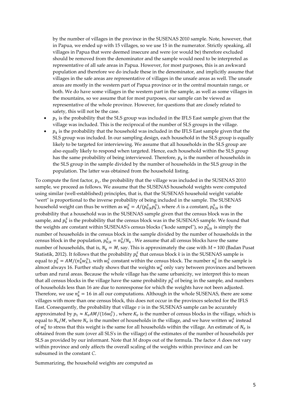by the number of villages in the province in the SUSENAS 2010 sample. Note, however, that in Papua, we ended up with 15 villages, so we use 15 in the numerator. Strictly speaking, all villages in Papua that were deemed insecure and were (or would be) therefore excluded should be removed from the denominator and the sample would need to be interpreted as representative of all safe areas in Papua. However, for most purposes, this is an awkward population and therefore we do include these in the denominator, and implicitly assume that villages in the safe areas are representative of villages in the unsafe areas as well. The unsafe areas are mostly in the western part of Papua province or in the central mountain range, or both. We do have some villages in the western part in the sample, as well as some villages in the mountains, so we assume that for most purposes, our sample can be viewed as representative of the whole province. However, for questions that are closely related to safety, this will not be the case.

- $p_3$  is the probability that the SLS group was included in the IFLS East sample given that the village was included. This is the reciprocal of the number of SLS groups in the village.
- $p_4$  is the probability that the household was included in the IFLS East sample given that the SLS group was included. In our sampling design, each household in the SLS group is equally likely to be targeted for interviewing. We assume that all households in the SLS group are also equally likely to respond when targeted. Hence, each household within the SLS group has the same probability of being interviewed. Therefore,  $p_4$  is the number of households in the SLS group in the sample divided by the number of households in the SLS group in the population. The latter was obtained from the household listing.

To compute the first factor,  $p_1$ , the probability that the village was included in the SUSENAS 2010 sample, we proceed as follows. We assume that the SUSENAS household weights were computed using similar (well-established) principles, that is, that the SUSENAS household weight variable "wert" is proportional to the inverse probability of being included in the sample. The SUSENAS household weight can thus be written as  $w_h^S = A/(p_{h|k}^S p_k^S)$ , where A is a constant,  $p_{h|k}^S$  is the probability that a household was in the SUSENAS sample given that the census block was in the sample, and  $p_k^S$  is the probability that the census block was in the SUSENAS sample. We found that the weights are constant within SUSENAS's census blocks ("kode sampel"), so  $p_{h|k}^S$  is simply the number of households in the census block in the sample divided by the number of households in the census block in the population,  $p_{h|k}^S = n_k^S/N_k$ . We assume that all census blocks have the same number of households, that is,  $N_k = M$ , say. This is approximately the case with  $M = 100$  (Badan Pusat Statistik, 2012). It follows that the probability  $p_k^S$  that census block *k* is in the SUSENAS sample is equal to  $p_k^S = AM/(n_k^S w_h^S)$ , with  $w_h^S$  constant within the census block. The number  $n_k^S$  in the sample is almost always 16. Further study shows that the weights  $w_h^S$  only vary between provinces and between urban and rural areas. Because the whole village has the same urbanicity, we interpret this to mean that all census blocks in the village have the same probability  $p_k^S$  of being in the sample, and numbers of households less than 16 are due to nonresponse for which the weights have not been adjusted. Therefore, we use  $n_k^S = 16$  in all our computations. Although in the whole SUSENAS, there are some villages with more than one census block, this does not occur in the provinces selected for the IFLS East. Consequently, the probability that village *v* is in the SUSENAS sample can be accurately approximated by  $p_1 \approx K_v A M/(16 w_v^S)$ , where  $K_v$  is the number of census blocks in the village, which is equal to  $N_v/M$ , where  $N_v$  is the number of households in the village, and we have written  $w_v^S$  instead of  $w_h^S$  to stress that this weight is the same for all households within the village. An estimate of  $N_v$  is obtained from the sum (over all SLS's in the village) of the estimates of the number of households per SLS as provided by our informant. Note that *M* drops out of the formula. The factor *A* does not vary within province and only affects the overall scaling of the weights within province and can be subsumed in the constant *C*.

Summarizing, the household weights are computed as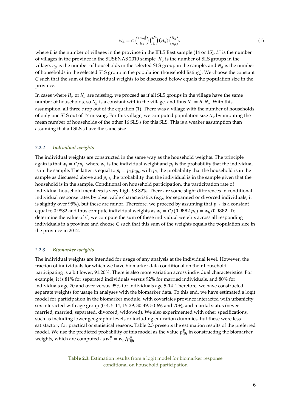$$
w_h = C \left(\frac{16w_v^S}{N_v}\right) \left(\frac{L^S}{L}\right) (H_v) \left(\frac{N_g}{n_g}\right),\tag{1}
$$

where L is the number of villages in the province in the IFLS East sample  $(14 \text{ or } 15)$ ,  $L<sup>S</sup>$  is the number of villages in the province in the SUSENAS 2010 sample,  $H<sub>v</sub>$  is the number of SLS groups in the village,  $n_q$  is the number of households in the selected SLS group in the sample, and  $N_q$  is the number of households in the selected SLS group in the population (household listing). We choose the constant *C* such that the sum of the individual weights to be discussed below equals the population size in the province.

In cases where  $H_v$  or  $N_g$  are missing, we proceed as if all SLS groups in the village have the same number of households, so  $N_g$  is a constant within the village, and thus  $N_v = H_v N_g$ . With this assumption, all three drop out of the equation (1). There was a village with the number of households of only one SLS out of 17 missing. For this village, we computed population size  $N_{\nu}$  by imputing the mean number of households of the other 16 SLS's for this SLS. This is a weaker assumption than assuming that all SLS's have the same size.

#### *2.2.2 Individual weights*

The individual weights are constructed in the same way as the household weights. The principle again is that  $w_i = C/p_i$ , where  $w_i$  is the individual weight and  $p_i$  is the probability that the individual is in the sample. The latter is equal to  $p_i = p_h p_{i|h}$ , with  $p_h$  the probability that the household is in the sample as discussed above and  $p_{i|h}$  the probability that the individual is in the sample given that the household is in the sample. Conditional on household participation, the participation rate of individual household members is very high, 98.82%. There are some slight differences in conditional individual response rates by observable characteristics (e.g., for separated or divorced individuals, it is slightly over 95%), but these are minor. Therefore, we proceed by assuming that  $p_{i,h}$  is a constant equal to 0.9882 and thus compute individual weights as  $w_i = C/(0.9882 p_h) = w_h/0.9882$ . To determine the value of *C*, we compute the sum of these individual weights across all responding individuals in a province and choose *C* such that this sum of the weights equals the population size in the province in 2012.

#### *2.2.3 Biomarker weights*

The individual weights are intended for usage of any analysis at the individual level. However, the fraction of individuals for which we have biomarker data conditional on their household participating is a bit lower, 91.20%. There is also more variation across individual characteristics. For example, it is 81% for separated individuals versus 92% for married individuals, and 80% for individuals age 70 and over versus 95% for individuals age 5-14. Therefore, we have constructed separate weights for usage in analyses with the biomarker data. To this end, we have estimated a logit model for participation in the biomarker module, with covariates province interacted with urbanicity, sex interacted with age group (0-4, 5-14, 15-29, 30-49, 50-69, and 70+), and marital status (never married, married, separated, divorced, widowed). We also experimented with other specifications, such as including lower geographic levels or including education dummies, but these were less satisfactory for practical or statistical reasons. Table 2.3 presents the estimation results of the preferred model. We use the predicted probability of this model as the value  $p_{i|h}^{\mu}$  in constructing the biomarker weights, which are computed as  $w_i^B = w_h / p_{i|h}^B$ .

> **Table 2.3.** Estimation results from a logit model for biomarker response conditional on household participation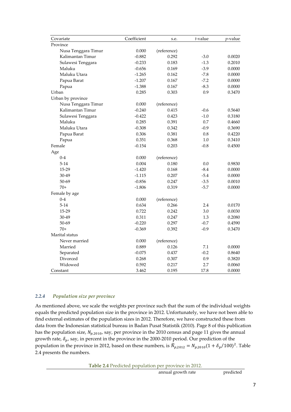| Covariate           | Coefficient | s.e.        | t-value | $p$ -value |
|---------------------|-------------|-------------|---------|------------|
| Province            |             |             |         |            |
| Nusa Tenggara Timur | 0.000       | (reference) |         |            |
| Kalimantan Timur    | $-0.882$    | 0.292       | $-3.0$  | 0.0020     |
| Sulawesi Tenggara   | $-0.233$    | 0.183       | $-1.3$  | 0.2010     |
| Maluku              | $-0.656$    | 0.169       | $-3.9$  | 0.0000     |
| Maluku Utara        | $-1.265$    | 0.162       | $-7.8$  | 0.0000     |
| Papua Barat         | $-1.207$    | 0.167       | $-7.2$  | 0.0000     |
| Papua               | $-1.388$    | 0.167       | $-8.3$  | 0.0000     |
| Urban               | 0.285       | 0.303       | 0.9     | 0.3470     |
| Urban by province   |             |             |         |            |
| Nusa Tenggara Timur | 0.000       | (reference) |         |            |
| Kalimantan Timur    | $-0.240$    | 0.415       | $-0.6$  | 0.5640     |
| Sulawesi Tenggara   | $-0.422$    | 0.423       | $-1.0$  | 0.3180     |
| Maluku              | 0.285       | 0.391       | 0.7     | 0.4660     |
| Maluku Utara        | $-0.308$    | 0.342       | $-0.9$  | 0.3690     |
| Papua Barat         | 0.306       | 0.381       | 0.8     | 0.4220     |
| Papua               | 0.351       | 0.368       | 1.0     | 0.3410     |
| Female              | $-0.154$    | 0.203       | $-0.8$  | 0.4500     |
| Age                 |             |             |         |            |
| $0 - 4$             | 0.000       | (reference) |         |            |
| $5 - 14$            | 0.004       | 0.180       | 0.0     | 0.9830     |
| 15-29               | $-1.420$    | 0.168       | $-8.4$  | 0.0000     |
| 30-49               | $-1.115$    | 0.207       | $-5.4$  | 0.0000     |
| 50-69               | $-0.856$    | 0.247       | $-3.5$  | 0.0010     |
| $70+$               | $-1.806$    | 0.319       | $-5.7$  | 0.0000     |
| Female by age       |             |             |         |            |
| $0 - 4$             | 0.000       | (reference) |         |            |
| $5-14$              | 0.634       | 0.266       | 2.4     | 0.0170     |
| 15-29               | 0.722       | 0.242       | 3.0     | 0.0030     |
| 30-49               | 0.311       | 0.247       | 1.3     | 0.2080     |
| 50-69               | $-0.220$    | 0.297       | $-0.7$  | 0.4590     |
| $70+$               | $-0.369$    | 0.392       | $-0.9$  | 0.3470     |
| Marital status      |             |             |         |            |
| Never married       | 0.000       | (reference) |         |            |
| Married             | 0.889       | 0.126       | 7.1     | 0.0000     |
| Separated           | $-0.075$    | 0.437       | $-0.2$  | 0.8640     |
| Divorced            | 0.268       | 0.307       | 0.9     | 0.3820     |
| Widowed             | 0.592       | 0.217       | 2.7     | 0.0060     |
| Constant            | 3.462       | 0.195       | 17.8    | 0.0000     |

#### *2.2.4 Population size per province*

As mentioned above, we scale the weights per province such that the sum of the individual weights equals the predicted population size in the province in 2012. Unfortunately, we have not been able to find external estimates of the population sizes in 2012. Therefore, we have constructed these from data from the Indonesian statistical bureau in Badan Pusat Statistik (2010). Page 8 of this publication has the population size,  $N_{p,2010}$ , say, per province in the 2010 census and page 11 gives the annual growth rate,  $\delta_p$ , say, in percent in the province in the 2000-2010 period. Our prediction of the population in the province in 2012, based on these numbers, is  $N_{p,2012} = N_{p,2010}(1 + \delta_p/100)^2$ . Table 2.4 presents the numbers.

**Table 2.4** Predicted population per province in 2012.

annual growth rate predicted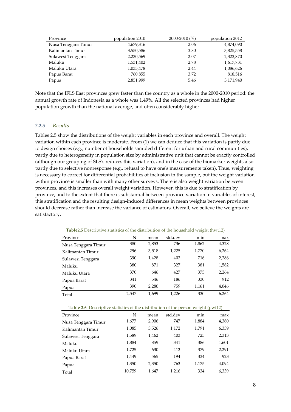| Province            | population 2010 | 2000-2010 (%) | population 2012 |
|---------------------|-----------------|---------------|-----------------|
| Nusa Tenggara Timur | 4,679,316       | 2.06          | 4,874,090       |
| Kalimantan Timur    | 3,550,586       | 3.80          | 3,825,558       |
| Sulawesi Tenggara   | 2,230,569       | 2.07          | 2,323,870       |
| Maluku              | 1,531,402       | 2.78          | 1,617,731       |
| Maluku Utara        | 1,035,478       | 2.44          | 1,086,626       |
| Papua Barat         | 760,855         | 3.72          | 818,516         |
| Papua               | 2,851,999       | 5.46          | 3,171,940       |

Note that the IFLS East provinces grew faster than the country as a whole in the 2000-2010 period: the annual growth rate of Indonesia as a whole was 1.49%. All the selected provinces had higher population growth than the national average, and often considerably higher.

#### *2.2.5 Results*

Tables 2.5 show the distributions of the weight variables in each province and overall. The weight variation within each province is moderate. From (1) we can deduce that this variation is partly due to design choices (e.g., number of households sampled different for urban and rural communities), partly due to heterogeneity in population size by administrative unit that cannot be exactly controlled (although our grouping of SLS's reduces this variation), and in the case of the biomarker weights also partly due to selective nonresponse (e.g., refusal to have one's measurements taken). Thus, weighting is necessary to correct for differential probabilities of inclusion in the sample, but the weight variation within province is smaller than with many other surveys. There is also weight variation between provinces, and this increases overall weight variation. However, this is due to stratification by province, and to the extent that there is substantial between-province variation in variables of interest, this stratification and the resulting design-induced differences in mean weights between provinces should decrease rather than increase the variance of estimators. Overall, we believe the weights are satisfactory.

| N     | mean  | std.dev | min   | max   |
|-------|-------|---------|-------|-------|
| 380   | 2,853 | 736     | 1,862 | 4,328 |
| 296   | 3,518 | 1,225   | 1,770 | 6,264 |
| 390   | 1,428 | 402     | 716   | 2,286 |
| 380   | 871   | 327     | 381   | 1,582 |
| 370   | 646   | 427     | 375   | 2,264 |
| 341   | 546   | 186     | 330   | 912   |
| 390   | 2,280 | 759     | 1,161 | 4,046 |
| 2,547 | 1,699 | 1,226   | 330   | 6,264 |
|       |       |         |       |       |

**Table2.5** Descriptive statistics of the distribution of the household weight (hwt12)

**Table 2.6** Descriptive statistics of the distribution of the person weight (pwt12)

| Province            | N      | mean  | std.dev | min   | max   |
|---------------------|--------|-------|---------|-------|-------|
| Nusa Tenggara Timur | 1,677  | 2,906 | 747     | 1,884 | 4,380 |
| Kalimantan Timur    | 1,085  | 3,526 | 1,172   | 1,791 | 6,339 |
| Sulawesi Tenggara   | 1,589  | 1,462 | 403     | 725   | 2,313 |
| Maluku              | 1,884  | 859   | 341     | 386   | 1,601 |
| Maluku Utara        | 1,725  | 630   | 412     | 379   | 2,291 |
| Papua Barat         | 1,449  | 565   | 194     | 334   | 923   |
| Papua               | 1,350  | 2,350 | 763     | 1,175 | 4,094 |
| Total               | 10,759 | 1,647 | 1,216   | 334   | 6,339 |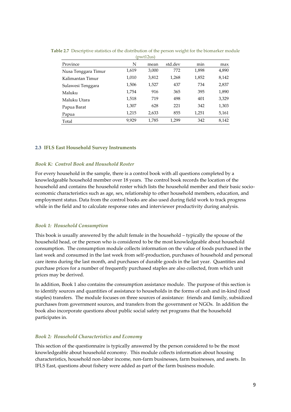| $V$ is the up $\frac{1}{2}$ |       |       |         |       |       |  |  |
|-----------------------------|-------|-------|---------|-------|-------|--|--|
| Province                    | N     | mean  | std.dev | min   | max   |  |  |
| Nusa Tenggara Timur         | 1,619 | 3,000 | 772     | 1,898 | 4,890 |  |  |
| Kalimantan Timur            | 1,010 | 3,812 | 1,268   | 1,852 | 8,142 |  |  |
| Sulawesi Tenggara           | 1,506 | 1,527 | 437     | 734   | 2,837 |  |  |
| Maluku                      | 1,754 | 916   | 365     | 395   | 1,890 |  |  |
| Maluku Utara                | 1,518 | 719   | 498     | 401   | 3,329 |  |  |
| Papua Barat                 | 1,307 | 628   | 221     | 342   | 1,303 |  |  |
| Papua                       | 1,215 | 2,633 | 855     | 1,251 | 5,161 |  |  |
| Total                       | 9.929 | 1,785 | 1,299   | 342   | 8,142 |  |  |

**Table 2.7** Descriptive statistics of the distribution of the person weight for the biomarker module  $(mw+12u)$ 

#### **2.3 IFLS East Household Survey Instruments**

#### *Book K: Control Book and Household Roster*

For every household in the sample, there is a control book with all questions completed by a knowledgeable household member over 18 years. The control book records the location of the household and contains the household roster which lists the household member and their basic socioeconomic characteristics such as age, sex, relationship to other household members, education, and employment status. Data from the control books are also used during field work to track progress while in the field and to calculate response rates and interviewer productivity during analysis.

#### *Book 1: Household Consumption*

This book is usually answered by the adult female in the household – typically the spouse of the household head, or the person who is considered to be the most knowledgeable about household consumption. The consumption module collects information on the value of foods purchased in the last week and consumed in the last week from self-production, purchases of household and personal care items during the last month, and purchases of durable goods in the last year. Quantities and purchase prices for a number of frequently purchased staples are also collected, from which unit prices may be derived.

In addition, Book 1 also contains the consumption assistance module. The purpose of this section is to identify sources and quantities of assistance to households in the forms of cash and in-kind (food staples) transfers. The module focuses on three sources of assistance: friends and family, subsidized purchases from government sources, and transfers from the government or NGOs. In addition the book also incorporate questions about public social safety net programs that the household participates in.

#### *Book 2: Household Characteristics and Economy*

This section of the questionnaire is typically answered by the person considered to be the most knowledgeable about household economy. This module collects information about housing characteristics, household non-labor income, non-farm businesses, farm businesses, and assets. In IFLS East, questions about fishery were added as part of the farm business module.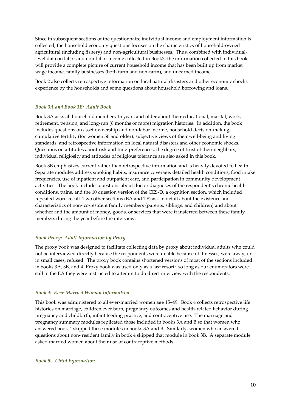Since in subsequent sections of the questionnaire individual income and employment information is collected, the household economy questions focuses on the characteristics of household-owned agricultural (including fishery) and non-agricultural businesses. Thus, combined with individuallevel data on labor and non-labor income collected in Book3, the information collected in this book will provide a complete picture of current household income that has been built up from market wage income, family businesses (both farm and non-farm), and unearned income.

Book 2 also collects retrospective information on local natural disasters and other economic shocks experience by the households and some questions about household borrowing and loans.

#### *Book 3A and Book 3B: Adult Book*

Book 3A asks all household members 15 years and older about their educational, marital, work, retirement, pension, and long-run (6 months or more) migration histories. In addition, the book includes questions on asset ownership and non-labor income, household decision-making, cumulative fertility (for women 50 and older), subjective views of their well-being and living standards, and retrospective information on local natural disasters and other economic shocks. Questions on attitudes about risk and time-preferences, the degree of trust of their neighbors, individual religiosity and attitudes of religious tolerance are also asked in this book.

Book 3B emphasizes current rather than retrospective information and is heavily devoted to health. Separate modules address smoking habits, insurance coverage, detailed health conditions, food intake frequencies, use of inpatient and outpatient care, and participation in community development activities. The book includes questions about doctor diagnoses of the respondent's chronic health conditions, pains, and the 10 question version of the CES-D, a cognition section, which included repeated word recall. Two other sections (BA and TF) ask in detail about the existence and characteristics of non- co-resident family members (parents, siblings, and children) and about whether and the amount of money, goods, or services that were transferred between these family members during the year before the interview.

#### *Book Proxy: Adult Information by Proxy*

The proxy book was designed to facilitate collecting data by proxy about individual adults who could not be interviewed directly because the respondents were unable because of illnesses, were away, or in small cases, refused. The proxy book contains shortened versions of most of the sections included in books 3A, 3B, and 4. Proxy book was used only as a last resort; so long as our enumerators were still in the EA they were instructed to attempt to do direct interview with the respondents.

#### *Book 4: Ever-Married Woman Information*

This book was administered to all ever-married women age 15–49. Book 4 collects retrospective life histories on marriage, children ever born, pregnancy outcomes and health-related behavior during pregnancy and childbirth, infant feeding practice, and contraceptive use. The marriage and pregnancy summary modules replicated those included in books 3A and B so that women who answered book 4 skipped these modules in books 3A and B. Similarly, women who answered questions about non- resident family in book 4 skipped that module in book 3B. A separate module asked married women about their use of contraceptive methods.

*Book 5: Child Information*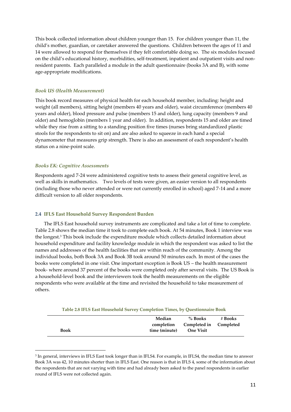This book collected information about children younger than 15. For children younger than 11, the child's mother, guardian, or caretaker answered the questions. Children between the ages of 11 and 14 were allowed to respond for themselves if they felt comfortable doing so. The six modules focused on the child's educational history, morbidities, self-treatment, inpatient and outpatient visits and nonresident parents. Each paralleled a module in the adult questionnaire (books 3A and B), with some age-appropriate modifications.

#### *Book US (Health Measurement)*

This book record measures of physical health for each household member, including: height and weight (all members), sitting height (members 40 years and older), waist circumference (members 40 years and older), blood pressure and pulse (members 15 and older), lung capacity (members 9 and older) and hemoglobin (members 1 year and older). In addition, respondents 15 and older are timed while they rise from a sitting to a standing position five times (nurses bring standardized plastic stools for the respondents to sit on) and are also asked to squeeze in each hand a special dynamometer that measures grip strength. There is also an assessment of each respondent's health status on a nine-point scale.

#### *Books EK: Cognitive Assessments*

 $\overline{a}$ 

Respondents aged 7-24 were administered cognitive tests to assess their general cognitive level, as well as skills in mathematics. Two levels of tests were given, an easier version to all respondents (including those who never attended or were not currently enrolled in school) aged 7-14 and a more difficult version to all older respondents.

#### **2.4 IFLS East Household Survey Respondent Burden**

The IFLS East household survey instruments are complicated and take a lot of time to complete. Table 2.8 shows the median time it took to complete each book. At 54 minutes, Book 1 interview was the longest.<sup>3</sup> This book include the expenditure module which collects detailed information about household expenditure and facility knowledge module in which the respondent was asked to list the names and addresses of the health facilities that are within reach of the community. Among the individual books, both Book 3A and Book 3B took around 50 minutes each. In most of the cases the books were completed in one visit. One important exception is Book US – the health measurement book- where around 37 percent of the books were completed only after several visits. The US Book is a household-level book and the interviewers took the health measurements on the eligible respondents who were available at the time and revisited the household to take measurement of others.

|             | Median        | $%$ Books              | # Books |
|-------------|---------------|------------------------|---------|
|             | completion    | Completed in Completed |         |
| <b>Book</b> | time (minute) | One Visit              |         |

<sup>3</sup> In general, interviews in IFLS East took longer than in IFLS4. For example, in IFLS4, the median time to answer Book 3A was 42, 10 minutes shorter than in IFLS East. One reason is that in IFLS 4, some of the information about the respondents that are not varying with time and had already been asked to the panel respondents in earlier round of IFLS were not collected again.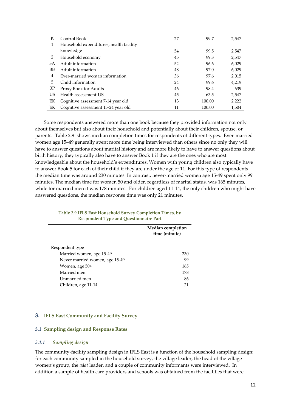| К            | Control Book                            | 27 | 99.7   | 2,547 |
|--------------|-----------------------------------------|----|--------|-------|
| $\mathbf{1}$ | Household expenditures, health facility |    |        |       |
|              | knowledge                               | 54 | 99.5   | 2,547 |
| 2            | Household economy                       | 45 | 99.3   | 2,547 |
| 3A           | Adult information                       | 52 | 96.6   | 6,029 |
| ЗB           | Adult information                       | 48 | 97.0   | 6,029 |
| 4            | Ever-married woman information          | 36 | 97.6   | 2,015 |
| 5            | Child information                       | 24 | 99.6   | 4,219 |
| 3P           | Proxy Book for Adults                   | 46 | 98.4   | 639   |
| US           | Health assessment-US                    | 45 | 63.5   | 2,547 |
| EK           | Cognitive assessment 7-14 year old      | 13 | 100.00 | 2,222 |
| EK           | Cognitive assessment 15-24 year old     | 11 | 100.00 | 1,504 |

Some respondents answered more than one book because they provided information not only about themselves but also about their household and potentially about their children, spouse, or parents. Table 2.9 shows median completion times for respondents of different types. Ever-married women age 15–49 generally spent more time being interviewed than others since no only they will have to answer questions about marital history and are more likely to have to answer questions about birth history, they typically also have to answer Book 1 if they are the ones who are most knowledgeable about the household's expenditures. Women with young children also typically have to answer Book 5 for each of their child if they are under the age of 11. For this type of respondents the median time was around 230 minutes. In contrast, never-married women age 15-49 spent only 99 minutes. The median time for women 50 and older, regardless of marital status, was 165 minutes, while for married men it was 178 minutes. For children aged 11-14, the only children who might have answered questions, the median response time was only 21 minutes.

|                                | <b>Median completion</b><br>time (minute) |
|--------------------------------|-------------------------------------------|
| Respondent type                |                                           |
| Married women, age 15-49       | 230                                       |
| Never married women, age 15-49 | 99                                        |
| Women, age 50+                 | 165                                       |
| Married men                    | 178                                       |
| Unmarried men                  | 86                                        |
| Children, age 11-14            | 21                                        |

#### **Table 2.9 IFLS East Household Survey Completion Times, by Respondent Type and Questionnaire Part**

#### **3. IFLS East Community and Facility Survey**

#### **3.1 Sampling design and Response Rates**

#### *3.1.1 Sampling design*

The community-facility sampling design in IFLS East is a function of the household sampling design: for each community sampled in the household survey, the village leader, the head of the village women's group, the *adat* leader, and a couple of community informants were interviewed. In addition a sample of health care providers and schools was obtained from the facilities that were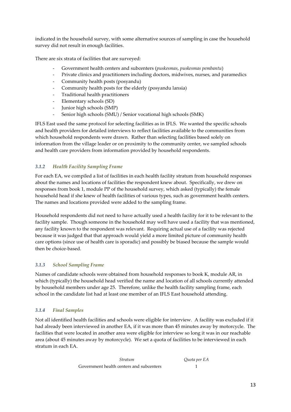indicated in the household survey, with some alternative sources of sampling in case the household survey did not result in enough facilities.

There are six strata of facilities that are surveyed:

- Government health centers and subcenters (*puskesmas*, *puskesmas pembantu*)
- Private clinics and practitioners including doctors, midwives, nurses, and paramedics
- Community health posts (posyandu)
- Community health posts for the elderly (posyandu lansia)
- Traditional health practitioners
- Elementary schools (SD)
- Junior high schools (SMP)
- Senior high schools (SMU) / Senior vocational high schools (SMK)

IFLS East used the same protocol for selecting facilities as in IFLS. We wanted the specific schools and health providers for detailed interviews to reflect facilities available to the communities from which household respondents were drawn. Rather than selecting facilities based solely on information from the village leader or on proximity to the community center, we sampled schools and health care providers from information provided by household respondents.

#### *3.1.2 Health Facility Sampling Frame*

For each EA, we compiled a list of facilities in each health facility stratum from household responses about the names and locations of facilities the respondent knew about. Specifically, we drew on responses from book 1, module PP of the household survey, which asked (typically) the female household head if she knew of health facilities of various types, such as government health centers. The names and locations provided were added to the sampling frame.

Household respondents did not need to have actually used a health facility for it to be relevant to the facility sample. Though someone in the household may well have used a facility that was mentioned, any facility known to the respondent was relevant. Requiring actual use of a facility was rejected because it was judged that that approach would yield a more limited picture of community health care options (since use of health care is sporadic) and possibly be biased because the sample would then be choice-based.

#### *3.1.3 School Sampling Frame*

Names of candidate schools were obtained from household responses to book K, module AR, in which (typically) the household head verified the name and location of all schools currently attended by household members under age 25. Therefore, unlike the health facility sampling frame, each school in the candidate list had at least one member of an IFLS East household attending.

#### *3.1.4 Final Samples*

Not all identified health facilities and schools were eligible for interview. A facility was excluded if it had already been interviewed in another EA, if it was more than 45 minutes away by motorcycle. The facilities that were located in another area were eligible for interview so long it was in our reachable area (about 45 minutes away by motorcycle). We set a quota of facilities to be interviewed in each stratum in each EA.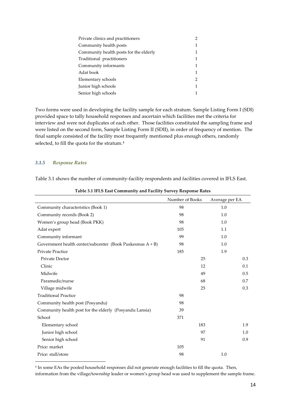| Private clinics and practitioners      |   |
|----------------------------------------|---|
| Community health posts                 | 1 |
| Community health posts for the elderly |   |
| Traditional practitioners              | 1 |
| Community informants                   | 1 |
| Adat book                              | 1 |
| Elementary schools                     | 2 |
| Junior high schools                    | 1 |
| Senior high schools                    |   |

Two forms were used in developing the facility sample for each stratum. Sample Listing Form I (SDI) provided space to tally household responses and ascertain which facilities met the criteria for interview and were not duplicates of each other. Those facilities constituted the sampling frame and were listed on the second form, Sample Listing Form II (SDII), in order of frequency of mention. The final sample consisted of the facility most frequently mentioned plus enough others, randomly selected, to fill the quota for the stratum.<sup>4</sup>

#### *3.1.5 Response Rates*

Table 3.1 shows the number of community-facility respondents and facilities covered in IFLS East.

|                                                              | Number of Books | Average per EA |
|--------------------------------------------------------------|-----------------|----------------|
| Community characteristics (Book 1)                           | 98              | 1.0            |
| Community records (Book 2)                                   | 98              | 1.0            |
| Women's group head (Book PKK)                                | 98              | 1.0            |
| Adat expert                                                  | 105             | 1.1            |
| Community informant                                          | 99              | 1.0            |
| Government health center/subcenter (Book Puskesmas $A + B$ ) | 98              | 1.0            |
| <b>Private Practice</b>                                      | 185             | 1.9            |
| Private Doctor                                               |                 | 0.3<br>25      |
| Clinic                                                       |                 | 12<br>0.1      |
| Midwife                                                      |                 | 0.5<br>49      |
| Paramedic/nurse                                              |                 | 68<br>0.7      |
| Village midwife                                              |                 | 0.3<br>25      |
| <b>Traditional Practice</b>                                  | 98              |                |
| Community health post (Posyandu)                             | 98              |                |
| Community health post for the elderly (Posyandu Lansia)      | 39              |                |
| School                                                       | 371             |                |
| Elementary school                                            |                 | 183<br>1.9     |
| Junior high school                                           |                 | 97<br>1.0      |
| Senior high school                                           |                 | 91<br>0.9      |
| Price: market                                                | 105             |                |
| Price: stall/store                                           | 98              | 1.0            |

**Table 3.1 IFLS East Community and Facility Survey Response Rates**

4 In some EAs the pooled household responses did not generate enough facilities to fill the quota. Then, information from the village/township leader or women's group head was used to supplement the sample frame.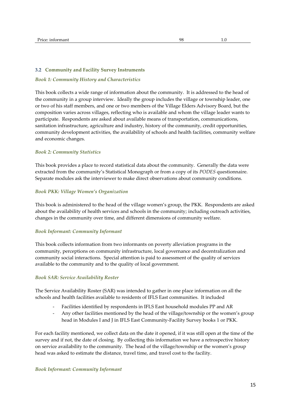#### **3.2 Community and Facility Survey Instruments**

#### *Book 1: Community History and Characteristics*

This book collects a wide range of information about the community. It is addressed to the head of the community in a group interview. Ideally the group includes the village or township leader, one or two of his staff members, and one or two members of the Village Elders Advisory Board, but the composition varies across villages, reflecting who is available and whom the village leader wants to participate. Respondents are asked about available means of transportation, communications, sanitation infrastructure, agriculture and industry, history of the community, credit opportunities, community development activities, the availability of schools and health facilities, community welfare and economic changes.

#### *Book 2: Community Statistics*

This book provides a place to record statistical data about the community. Generally the data were extracted from the community's Statistical Monograph or from a copy of its *PODES* questionnaire. Separate modules ask the interviewer to make direct observations about community conditions.

#### *Book PKK: Village Women's Organization*

This book is administered to the head of the village women's group, the PKK. Respondents are asked about the availability of health services and schools in the community; including outreach activities, changes in the community over time, and different dimensions of community welfare.

#### *Book Informant: Community Informant*

This book collects information from two informants on poverty alleviation programs in the community, perceptions on community infrastructure, local governance and decentralization and community social interactions. Special attention is paid to assessment of the quality of services available to the community and to the quality of local government.

#### *Book SAR: Service Availability Roster*

The Service Availability Roster (SAR) was intended to gather in one place information on all the schools and health facilities available to residents of IFLS East communities. It included

- Facilities identified by respondents in IFLS East household modules PP and AR
- Any other facilities mentioned by the head of the village/township or the women's group head in Modules I and J in IFLS East Community-Facility Survey books 1 or PKK.

For each facility mentioned, we collect data on the date it opened, if it was still open at the time of the survey and if not, the date of closing. By collecting this information we have a retrospective history on service availability to the community. The head of the village/township or the women's group head was asked to estimate the distance, travel time, and travel cost to the facility.

#### *Book Informant: Community Informant*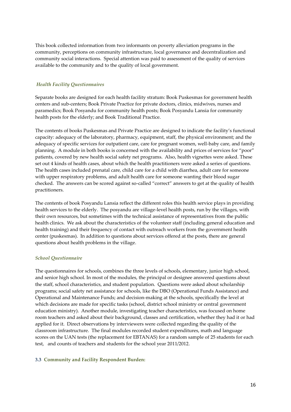This book collected information from two informants on poverty alleviation programs in the community, perceptions on community infrastructure, local governance and decentralization and community social interactions. Special attention was paid to assessment of the quality of services available to the community and to the quality of local government.

#### *Health Facility Questionnaires*

Separate books are designed for each health facility stratum: Book Puskesmas for government health centers and sub-centers; Book Private Practice for private doctors, clinics, midwives, nurses and paramedics; Book Posyandu for community health posts; Book Posyandu Lansia for community health posts for the elderly; and Book Traditional Practice.

The contents of books Puskesmas and Private Practice are designed to indicate the facility's functional capacity: adequacy of the laboratory, pharmacy, equipment, staff, the physical environment; and the adequacy of specific services for outpatient care, care for pregnant women, well-baby care, and family planning. A module in both books is concerned with the availability and prices of services for "poor" patients, covered by new health social safety net programs. Also, health vignettes were asked. These set out 4 kinds of health cases, about which the health practitioners were asked a series of questions. The health cases included prenatal care, child care for a child with diarrhea, adult care for someone with upper respiratory problems, and adult health care for someone wanting their blood sugar checked. The answers can be scored against so-called "correct" answers to get at the quality of health practitioners.

The contents of book Posyandu Lansia reflect the different roles this health service plays in providing health services to the elderly. The posyandu are village-level health posts, run by the villages, with their own resources, but sometimes with the technical assistance of representatives from the public health clinics. We ask about the characteristics of the volunteer staff (including general education and health training) and their frequency of contact with outreach workers from the government health center (puskesmas). In addition to questions about services offered at the posts, there are general questions about health problems in the village.

#### *School Questionnaire*

The questionnaires for schools, combines the three levels of schools, elementary, junior high school, and senior high school. In most of the modules, the principal or designee answered questions about the staff, school characteristics, and student population. Questions were asked about scholarship programs; social safety net assistance for schools, like the DBO (Operational Funds Assistance) and Operational and Maintenance Funds; and decision-making at the schools, specifically the level at which decisions are made for specific tasks (school, district school ministry or central government education ministry). Another module, investigating teacher characteristics, was focused on home room teachers and asked about their background, classes and certification, whether they had it or had applied for it. Direct observations by interviewers were collected regarding the quality of the classroom infrastructure. The final modules recorded student expenditures, math and language scores on the UAN tests (the replacement for EBTANAS) for a random sample of 25 students for each test, and counts of teachers and students for the school year 2011/2012.

#### **3.3 Community and Facility Respondent Burden:**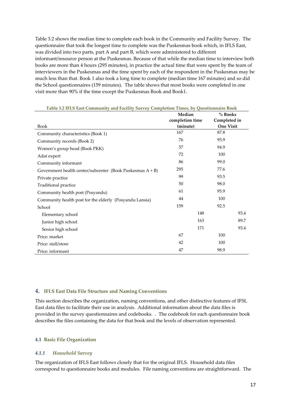Table 3.2 shows the median time to complete each book in the Community and Facility Survey. The questionnaire that took the longest time to complete was the Puskesmas book which, in IFLS East, was divided into two parts, part A and part B, which were administered to different informant/resource person at the Puskesmas. Because of that while the median time to interview both books are more than 4 hours (295 minutes), in practice the actual time that were spent by the team of interviewers in the Puskesmas and the time spent by each of the respondent in the Puskesmas may be much less than that. Book 1 also took a long time to complete (median time 167 minutes) and so did the School questionnaires (159 minutes). The table shows that most books were completed in one visit more than 90% if the time except the Puskesmas Book and Book1.

| Table 3.2 IFLS East Community and Facility Survey Completion Times, by Questionnaire Book |                             |                                  |      |  |
|-------------------------------------------------------------------------------------------|-----------------------------|----------------------------------|------|--|
|                                                                                           | Median                      | % Books                          |      |  |
| <b>Book</b>                                                                               | completion time<br>(minute) | Completed in<br><b>One Visit</b> |      |  |
| Community characteristics (Book 1)                                                        | 167                         | 87.8                             |      |  |
| Community records (Book 2)                                                                | 76                          | 95.9                             |      |  |
| Women's group head (Book PKK)                                                             | 57                          | 94.9                             |      |  |
| Adat expert                                                                               | 72                          | 100                              |      |  |
| Community informant                                                                       | 86                          | 99.0                             |      |  |
| Government health center/subcenter (Book Puskesmas $A + B$ )                              | 295                         | 77.6                             |      |  |
| Private practice                                                                          | 99                          | 93.5                             |      |  |
| Traditional practice                                                                      | 50                          | 98.0                             |      |  |
| Community health post (Posyandu)                                                          | 61                          | 95.9                             |      |  |
| Community health post for the elderly (Posyandu Lansia)                                   | 44                          | 100                              |      |  |
| School                                                                                    | 159                         | 92.5                             |      |  |
| Elementary school                                                                         |                             | 148                              | 93.4 |  |
| Junior high school                                                                        |                             | 163                              | 89.7 |  |
| Senior high school                                                                        |                             | 171                              | 93.4 |  |
| Price: market                                                                             | 67                          | 100                              |      |  |
| Price: stall/store                                                                        | 42                          | 100                              |      |  |
| Price: informant                                                                          | 47                          | 98.9                             |      |  |

#### **4. IFLS East Data File Structure and Naming Conventions**

This section describes the organization, naming conventions, and other distinctive features of IFSL East data files to facilitate their use in analysis. Additional information about the data files is provided in the survey questionnaires and codebooks. . The codebook for each questionnaire book describes the files containing the data for that book and the levels of observation represented.

#### **4.1 Basic File Organization**

#### *4.1.1 Household Survey*

The organization of IFLS East follows closely that for the original IFLS. Household data files correspond to questionnaire books and modules. File naming conventions are straightforward. The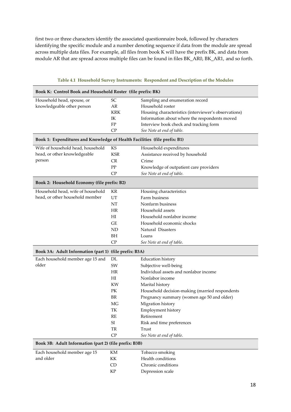first two or three characters identify the associated questionnaire book, followed by characters identifying the specific module and a number denoting sequence if data from the module are spread across multiple data files. For example, all files from book K will have the prefix BK, and data from module AR that are spread across multiple files can be found in files BK\_AR0, BK\_AR1, and so forth.

| Book K: Control Book and Household Roster (file prefix: BK)               |                            |                                                      |
|---------------------------------------------------------------------------|----------------------------|------------------------------------------------------|
| Household head, spouse, or                                                | SC                         | Sampling and enumeration record                      |
| knowledgeable other person                                                | AR                         | Household roster                                     |
|                                                                           | <b>KRK</b>                 | Housing characteristics (interviewer's observations) |
|                                                                           | IK                         | Information about where the respondents moved        |
|                                                                           | FP                         | Interview book check and tracking form               |
|                                                                           | CP                         | See Note at end of table.                            |
| Book 1: Expenditures and Knowledge of Health Facilities (file prefix: B1) |                            |                                                      |
| Wife of household head, household                                         | KS                         | Household expenditures                               |
| head, or other knowledgeable                                              | <b>KSR</b>                 | Assistance received by household                     |
| person                                                                    | CR                         | Crime                                                |
|                                                                           | PP                         | Knowledge of outpatient care providers               |
|                                                                           | CP                         | See Note at end of table.                            |
| Book 2: Household Economy (file prefix: B2)                               |                            |                                                      |
| Household head, wife of household                                         | KR                         | Housing characteristics                              |
| head, or other household member                                           | UT                         | Farm business                                        |
|                                                                           | NT                         | Nonfarm business                                     |
|                                                                           | HR                         | Household assets                                     |
|                                                                           |                            |                                                      |
|                                                                           | H                          | Household nonlabor income                            |
|                                                                           | GE                         | Household economic shocks                            |
|                                                                           | <b>ND</b>                  | Natural Disasters                                    |
|                                                                           | BH                         | Loans                                                |
|                                                                           | CP                         | See Note at end of table.                            |
| Book 3A: Adult Information (part 1) (file prefix: B3A)                    |                            |                                                      |
| Each household member age 15 and                                          | DL                         | <b>Education history</b>                             |
| older                                                                     | SW                         | Subjective well-being                                |
|                                                                           | HR                         | Individual assets and nonlabor income                |
|                                                                           | H                          | Nonlabor income                                      |
|                                                                           | KW                         | Marital history                                      |
|                                                                           | PK                         | Household decision-making (married respondents       |
|                                                                           | <b>BR</b>                  | Pregnancy summary (women age 50 and older)           |
|                                                                           | MG                         | Migration history                                    |
|                                                                           | TK                         | Employment history                                   |
|                                                                           | RE                         | Retirement                                           |
|                                                                           | SI                         | Risk and time preferences                            |
|                                                                           | TR                         | Trust                                                |
|                                                                           | ${\cal CP}$                | See Note at end of table.                            |
| Book 3B: Adult Information (part 2) (file prefix: B3B)                    |                            |                                                      |
| Each household member age 15                                              | KM                         | Tobacco smoking                                      |
| and older                                                                 | KK                         | Health conditions                                    |
|                                                                           | <b>CD</b>                  | Chronic conditions                                   |
|                                                                           | $\ensuremath{\mathrm{KP}}$ | Depression scale                                     |

#### **Table 4.1 Household Survey Instruments: Respondent and Description of the Modules**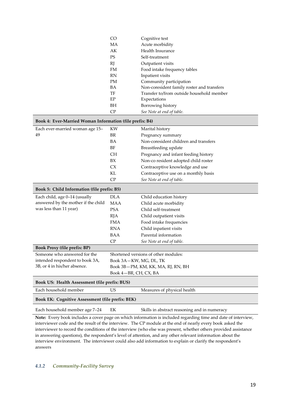| CO        | Cognitive test                             |
|-----------|--------------------------------------------|
| МA        | Acute morbidity                            |
| AK        | Health Insurance                           |
| <b>PS</b> | Self-treatment                             |
| RJ        | Outpatient visits                          |
| FM        | Food intake frequency tables               |
| <b>RN</b> | Inpatient visits                           |
| PМ        | Community participation                    |
| <b>BA</b> | Non-coresident family roster and transfers |
| TF        | Transfer to/from outside household member  |
| EP        | Expectations                               |
| BH        | Borrowing history                          |
| CP        | See Note at end of table.                  |

| Book 4: Ever-Married Woman Information (file prefix: B4) |                                      |                                              |  |  |
|----------------------------------------------------------|--------------------------------------|----------------------------------------------|--|--|
| Each ever-married woman age 15-                          | <b>KW</b>                            | Marital history                              |  |  |
| 49                                                       | <b>BR</b>                            | Pregnancy summary                            |  |  |
|                                                          | <b>BA</b>                            | Non-coresident children and transfers        |  |  |
|                                                          | BF                                   | Breastfeeding update                         |  |  |
|                                                          | <b>CH</b>                            | Pregnancy and infant feeding history         |  |  |
|                                                          | BX                                   | Non-co resident adopted child roster         |  |  |
|                                                          | CX                                   | Contraceptive knowledge and use              |  |  |
|                                                          | <b>KL</b>                            | Contraceptive use on a monthly basis         |  |  |
|                                                          | CP                                   | See Note at end of table.                    |  |  |
| Book 5: Child Information (file prefix: B5)              |                                      |                                              |  |  |
| Each child, age 0-14 (usually                            | <b>DLA</b>                           | Child education history                      |  |  |
| answered by the mother if the child                      | <b>MAA</b>                           | Child acute morbidity                        |  |  |
| was less than 11 year)                                   | <b>PSA</b>                           | Child self-treatment                         |  |  |
|                                                          | <b>RJA</b>                           | Child outpatient visits                      |  |  |
|                                                          | <b>FMA</b>                           | Food intake frequencies                      |  |  |
|                                                          | <b>RNA</b>                           | Child inpatient visits                       |  |  |
|                                                          | <b>BAA</b>                           | Parental information                         |  |  |
|                                                          | CP                                   | See Note at end of table.                    |  |  |
| <b>Book Proxy (file prefix: BP)</b>                      |                                      |                                              |  |  |
| Someone who answered for the                             | Shortened versions of other modules: |                                              |  |  |
| intended respondent to book 3A,                          | Book 3A-KW, MG, DL, TK               |                                              |  |  |
| 3B, or 4 in his/her absence.                             |                                      | Book 3B-PM, KM, KK, MA, RJ, RN, BH           |  |  |
|                                                          | Book 4-BR, CH, CX, BA                |                                              |  |  |
| Book US: Health Assessment (file prefix: BUS)            |                                      |                                              |  |  |
| Each household member                                    | <b>US</b>                            | Measures of physical health                  |  |  |
| Book EK: Cognitive Assessment (file prefix: BEK)         |                                      |                                              |  |  |
| Each household member age 7-24                           | EK                                   | Skills in abstract reasoning and in numeracy |  |  |

**Note:** Every book includes a cover page on which information is included regarding time and date of interview, interviewer code and the result of the interview. The CP module at the end of nearly every book asked the interviewer to record the conditions of the interview (who else was present, whether others provided assistance in answering questions), the respondent's level of attention, and any other relevant information about the interview environment. The interviewer could also add information to explain or clarify the respondent's answers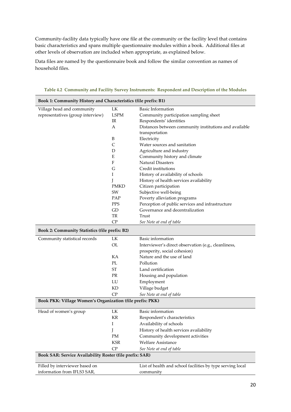Community-facility data typically have one file at the community or the facility level that contains basic characteristics and spans multiple questionnaire modules within a book. Additional files at other levels of observation are included when appropriate, as explained below.

Data files are named by the questionnaire book and follow the similar convention as names of household files.

| Book 1: Community History and Characteristics (file prefix: B1) |              |                                                            |
|-----------------------------------------------------------------|--------------|------------------------------------------------------------|
| Village head and community                                      | LK           | <b>Basic Information</b>                                   |
| representatives (group interview)                               | <b>LSPM</b>  | Community participation sampling sheet                     |
|                                                                 | IR           | Respondents' identities                                    |
|                                                                 | А            | Distances between community institutions and available     |
|                                                                 |              | transportation                                             |
|                                                                 | B            | Electricity                                                |
|                                                                 | $\mathsf{C}$ | Water sources and sanitation                               |
|                                                                 | D            | Agriculture and industry                                   |
|                                                                 | E            | Community history and climate                              |
|                                                                 | F            | <b>Natural Disasters</b>                                   |
|                                                                 | G            | Credit institutions                                        |
|                                                                 | I            | History of availability of schools                         |
|                                                                 | J            | History of health services availability                    |
|                                                                 | <b>PMKD</b>  | Citizen participation                                      |
|                                                                 | SW           | Subjective well-being                                      |
|                                                                 | PAP          | Poverty alleviation programs                               |
|                                                                 | <b>PPS</b>   | Perception of public services and infrastructure           |
|                                                                 | GD           | Governance and decentralization                            |
|                                                                 | TR           | Trust                                                      |
|                                                                 | CP           | See Note at end of table                                   |
| <b>Book 2: Community Statistics (file prefix: B2)</b>           |              |                                                            |
| Community statistical records                                   | LK           | Basic information                                          |
|                                                                 | OL           | Interviewer's direct observation (e.g., cleanliness,       |
|                                                                 |              | prosperity, social cohesion)                               |
|                                                                 | KA           | Nature and the use of land                                 |
|                                                                 | PL           | Pollution                                                  |
|                                                                 | <b>ST</b>    | Land certification                                         |
|                                                                 | <b>PR</b>    | Housing and population                                     |
|                                                                 | LU           | Employment                                                 |
|                                                                 | KD           | Village budget                                             |
|                                                                 | CP           | See Note at end of table                                   |
| Book PKK: Village Women's Organization (file prefix: PKK)       |              |                                                            |
| Head of women's group                                           | LK           | Basic information                                          |
|                                                                 | KR           | Respondent's characteristics                               |
|                                                                 | Ι            | Availability of schools                                    |
|                                                                 | J            | History of health services availability                    |
|                                                                 | PM           | Community development activities                           |
|                                                                 | KSR          | Welfare Assistance                                         |
|                                                                 | CP           | See Note at end of table                                   |
| Book SAR: Service Availability Roster (file prefix: SAR)        |              |                                                            |
|                                                                 |              |                                                            |
| Filled by interviewer based on                                  |              | List of health and school facilities by type serving local |
| information from IFLS3 SAR,                                     |              | community                                                  |

**Table 4.2 Community and Facility Survey Instruments: Respondent and Description of the Modules**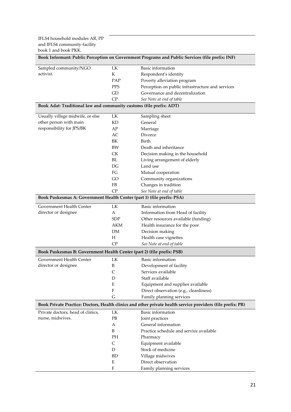| Book Informant: Public Perception on Government Programs and Public Services (file prefix: INF) |                           |                                                                                                             |
|-------------------------------------------------------------------------------------------------|---------------------------|-------------------------------------------------------------------------------------------------------------|
| Sampled community/NGO                                                                           | LK                        | Basic information                                                                                           |
| activist.                                                                                       | K                         | Respondent's identity                                                                                       |
|                                                                                                 | PAP                       | Poverty alleviation program                                                                                 |
|                                                                                                 | <b>PPS</b>                | Perception on public infrastructure and services                                                            |
|                                                                                                 | GD                        | Governance and decentralization                                                                             |
|                                                                                                 | CP                        | See Note at end of table                                                                                    |
| Book Adat: Traditional law and community customs (file prefix: ADT)                             |                           |                                                                                                             |
| Usually village midwife, or else                                                                | LK                        | Sampling sheet                                                                                              |
| other person with main                                                                          | KD                        | General                                                                                                     |
| responsibility for JPS/BK                                                                       | AP                        | Marriage                                                                                                    |
|                                                                                                 | AC                        | Divorce                                                                                                     |
|                                                                                                 | BK                        | Birth                                                                                                       |
|                                                                                                 | BW                        | Death and inheritance                                                                                       |
|                                                                                                 | ${\rm C}{\rm K}$          | Decision making in the household                                                                            |
|                                                                                                 | BL                        | Living arrangement of elderly                                                                               |
|                                                                                                 | DG                        | Land use                                                                                                    |
|                                                                                                 | FG                        | Mutual cooperation                                                                                          |
|                                                                                                 | GO                        | Community organizations                                                                                     |
|                                                                                                 | <b>FB</b>                 | Changes in tradition                                                                                        |
|                                                                                                 | CP                        | See Note at end of table                                                                                    |
| Book Puskesmas A: Government Health Center (part 1) (file prefix: PSA)                          |                           |                                                                                                             |
| Government Health Center                                                                        | LK                        | Basic information                                                                                           |
| director or designee                                                                            | А                         | Information from Head of facility                                                                           |
|                                                                                                 | <b>SDP</b>                | Other resources available (funding)                                                                         |
|                                                                                                 | <b>AKM</b>                | Health insurance for the poor                                                                               |
|                                                                                                 | DM                        | Decision making                                                                                             |
|                                                                                                 | H                         | Health case vignettes                                                                                       |
|                                                                                                 | CP                        | See Note at end of table                                                                                    |
| Book Puskesmas B: Government Health Center (part 2) (file prefix: PSB)                          |                           |                                                                                                             |
| Government Health Center                                                                        | LK                        | Basic information                                                                                           |
| director or designee                                                                            | B                         | Development of facility                                                                                     |
|                                                                                                 | $\mathsf{C}$              | Services available                                                                                          |
|                                                                                                 | D                         | Staff available                                                                                             |
|                                                                                                 | E                         | Equipment and supplies available                                                                            |
|                                                                                                 | F                         | Direct observation (e.g., cleanliness)                                                                      |
|                                                                                                 | G                         | Family planning services                                                                                    |
|                                                                                                 |                           | Book Private Practice: Doctors, Health clinics and other private health service providers (file prefix: PR) |
| Private doctors, head of clinics,                                                               | LK                        | Basic information                                                                                           |
| nurse, midwives.                                                                                | PB                        | Joint practices                                                                                             |
|                                                                                                 | А                         | General information                                                                                         |
|                                                                                                 | B                         | Practice schedule and service available                                                                     |
|                                                                                                 | PH                        | Pharmacy                                                                                                    |
|                                                                                                 | $\mathsf{C}$              | Equipment available                                                                                         |
|                                                                                                 | D                         | Stock of medicine                                                                                           |
|                                                                                                 | BD                        | Village midwives                                                                                            |
|                                                                                                 | E                         | Direct observation                                                                                          |
|                                                                                                 | $\boldsymbol{\mathrm{F}}$ | Family planning services                                                                                    |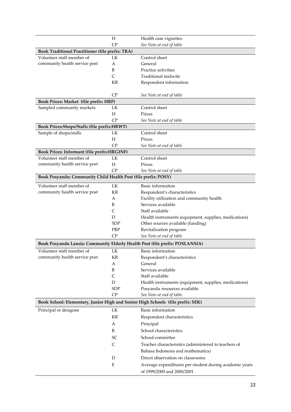|                                                                                 | Н          | Health case vignettes                                  |
|---------------------------------------------------------------------------------|------------|--------------------------------------------------------|
|                                                                                 | CP         | See Note at end of table                               |
| <b>Book Traditional Practitioner (file prefix: TRA)</b>                         |            |                                                        |
| Volunteer staff member of                                                       | LK         | Control sheet                                          |
| community health service post                                                   | А          | General                                                |
|                                                                                 | B          | Practice activities                                    |
|                                                                                 | C          | Traditional midwife                                    |
|                                                                                 | ΚR         | Respondent information                                 |
|                                                                                 |            |                                                        |
|                                                                                 | $\rm CP$   | See Note at end of table                               |
| Book Prices: Market (file prefix: HRP)                                          |            |                                                        |
| Sampled community markets                                                       | LK         | Control sheet                                          |
|                                                                                 | Н          | Prices                                                 |
|                                                                                 | CP         | See Note at end of table                               |
| Book Prices: Shops/Stalls (file prefix: HRWT)                                   |            |                                                        |
| Sample of shops/stalls                                                          | LK         | Control sheet                                          |
|                                                                                 | Н          | Prices                                                 |
|                                                                                 | CP         | See Note at end of table                               |
| Book Prices: Informant (file prefix:HRGINF)                                     |            |                                                        |
| Volunteer staff member of                                                       | LK         | Control sheet                                          |
| community health service post                                                   | H          | Prices                                                 |
|                                                                                 | CP         | See Note at end of table                               |
| Book Posyandu: Community Child Health Post (file prefix: POSY)                  |            |                                                        |
|                                                                                 |            |                                                        |
| Volunteer staff member of                                                       | LK         | Basic information                                      |
| community health service post                                                   | KR         | Respondent's characteristics                           |
|                                                                                 | А          | Facility utilization and community health              |
|                                                                                 | B          | Services available                                     |
|                                                                                 | C          | Staff available                                        |
|                                                                                 | D          | Health instruments (equipment, supplies, medications)  |
|                                                                                 | <b>SDP</b> | Other sources available (funding)                      |
|                                                                                 | PRP        | Revitalization program                                 |
|                                                                                 | CP         | See Note at end of table                               |
| Book Posyandu Lansia: Community Elderly Health Post (file prefix: POSLANSIA)    |            |                                                        |
| Volunteer staff member of                                                       | LK         | Basic information                                      |
| community health service post                                                   | KR         | Respondent's characteristics                           |
|                                                                                 | А          | General                                                |
|                                                                                 | B          | Services available                                     |
|                                                                                 | C          | Staff available                                        |
|                                                                                 | D          | Health instruments (equipment, supplies, medications)  |
|                                                                                 | <b>SDP</b> | Posyandu resources available                           |
|                                                                                 | CP         | See Note at end of table                               |
| Book School: Elementary, Junior High and Senior High Schools (file prefix: SEK) |            |                                                        |
|                                                                                 |            | <b>Basic</b> information                               |
| Principal or designee                                                           | LK         |                                                        |
|                                                                                 | KR         | Respondent characteristics                             |
|                                                                                 | А          | Principal                                              |
|                                                                                 | B          | School characteristics                                 |
|                                                                                 | SC         | School committee                                       |
|                                                                                 | C          | Teacher characteristics (administered to teachers of   |
|                                                                                 |            | Bahasa Indonesia and mathematics)                      |
|                                                                                 | D          | Direct observation on classrooms                       |
|                                                                                 | E          | Average expenditures per student during academic years |
|                                                                                 |            |                                                        |
|                                                                                 |            | of 1999/2000 and 2000/2001                             |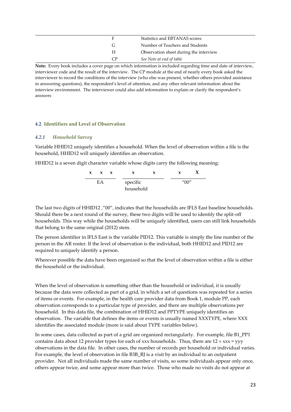| E  | Statistics and EBTANAS scores          |
|----|----------------------------------------|
| G  | Number of Teachers and Students        |
| H  | Observation sheet during the interview |
| CP | See Note at end of table               |

**Note:** Every book includes a cover page on which information is included regarding time and date of interview, interviewer code and the result of the interview. The CP module at the end of nearly every book asked the interviewer to record the conditions of the interview (who else was present, whether others provided assistance in answering questions), the respondent's level of attention, and any other relevant information about the interview environment. The interviewer could also add information to explain or clarify the respondent's answers

#### **4.2 Identifiers and Level of Observation**

#### *4.2.1 Household Survey*

Variable HHID12 uniquely identifies a household. When the level of observation within a file is the household, HHID12 will uniquely identifies an observation.

HHID12 is a seven digit character variable whose digits carry the following meaning:



The last two digits of HHID12 ,"00", indicates that the households are IFLS East baseline households. Should there be a next round of the survey, these two digits will be used to identify the split-off households. This way while the households will be uniquely identified, users can still link households that belong to the same original (2012) stem.

The person identifier in IFLS East is the variable PID12. This variable is simply the line number of the person in the AR roster. If the level of observation is the individual, both HHID12 and PID12 are required to uniquely identify a person.

Wherever possible the data have been organized so that the level of observation within a file is either the household or the individual.

When the level of observation is something other than the household or individual, it is usually because the data were collected as part of a grid, in which a set of questions was repeated for a series of items or events. For example, in the health care provider data from Book 1, module PP, each observation corresponds to a particular type of provider, and there are multiple observations per household. In this data file, the combination of HHID12 and PPTYPE uniquely identifies an observation. The variable that defines the items or events is usually named XXXTYPE, where XXX identifies the associated module (more is said about TYPE variables below).

In some cases, data collected as part of a grid are organized rectangularly. For example, file B1\_PP1 contains data about 12 provider types for each of xxx households. Thus, there are  $12 \times$  xxx = yyy observations in the data file. In other cases, the number of records per household or individual varies. For example, the level of observation in file B3B\_RJ is a visit by an individual to an outpatient provider. Not all individuals made the same number of visits, so some individuals appear only once, others appear twice, and some appear more than twice. Those who made no visits do not appear at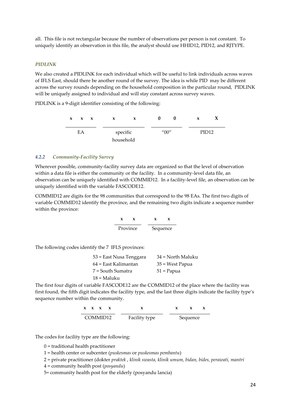all. This file is not rectangular because the number of observations per person is not constant. To uniquely identify an observation in this file, the analyst should use HHID12, PID12, and RJTYPE.

#### *PIDLINK*

We also created a PIDLINK for each individual which will be useful to link individuals across waves of IFLS East, should there be another round of the survey. The idea is while PID may be different across the survey rounds depending on the household composition in the particular round, PIDLINK will be uniquely assigned to individual and will stay constant across survey waves.

PIDLINK is a 9-digit identifier consisting of the following:

| $\mathbf{x}$ | $\mathbf{x} \times \mathbf{x}$ | x         | x        |  |                                    | x |                   |  |
|--------------|--------------------------------|-----------|----------|--|------------------------------------|---|-------------------|--|
| EA           |                                |           | specific |  | $^{\prime\prime}00^{\prime\prime}$ |   | PID <sub>12</sub> |  |
|              |                                | household |          |  |                                    |   |                   |  |

#### *4.2.2 Community-Facility Survey*

Wherever possible, community-facility survey data are organized so that the level of observation within a data file is either the community or the facility. In a community-level data file, an observation can be uniquely identified with COMMID12. In a facility-level file, an observation can be uniquely identified with the variable FASCODE12.

COMMID12 are digits for the 98 communities that correspond to the 98 EAs. The first two digits of variable COMMID12 identify the province, and the remaining two digits indicate a sequence number within the province:



The following codes identify the 7 IFLS provinces:

| 53 = East Nusa Tenggara | 34 = North Maluku |
|-------------------------|-------------------|
| 64 = East Kalimantan    | 35 = West Papua   |
| 7 = South Sumatra       | $51 =$ Papua      |
| $18 =$ Maluku           |                   |

The first four digits of variable FASCODE12 are the COMMID12 of the place where the facility was first found, the fifth digit indicates the facility type, and the last three digits indicate the facility type's sequence number within the community.

|          |  | $X \times X \times X$ |               | X. | $\mathbf{x}$ |  |
|----------|--|-----------------------|---------------|----|--------------|--|
| COMMID12 |  |                       | Facility type |    | Sequence     |  |

The codes for facility type are the following:

0 = traditional health practitioner

1 = health center or subcenter (*puskesmas* or *puskesmas pembantu*)

2 = private practitioner (dokter *praktek* , *klinik swasta, klinik umum, bidan, bides, perawati, mantri* 

4 = community health post (*posyandu*)

5= community health post for the elderly (posyandu lancia)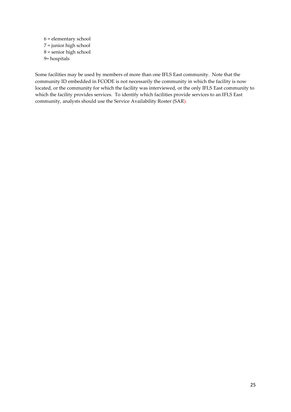6 = elementary school 7 = junior high school 8 = senior high school 9= hospitals

Some facilities may be used by members of more than one IFLS East community. Note that the community ID embedded in FCODE is not necessarily the community in which the facility is now located, or the community for which the facility was interviewed, or the only IFLS East community to which the facility provides services. To identify which facilities provide services to an IFLS East community, analysts should use the Service Availability Roster (SAR).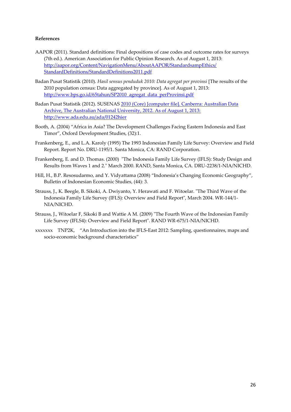#### **References**

- AAPOR (2011). Standard definitions: Final depositions of case codes and outcome rates for surveys (7th ed.). American Association for Public Opinion Research. As of August 1, 2013: [http://aapor.org/Content/NavigationMenu/AboutAAPOR/StandardsampEthics/](http://aapor.org/Content/NavigationMenu/AboutAAPOR/StandardsampEthics/StandardDefinitions/StandardDefinitions2011.pdf)  [StandardDefinitions/StandardDefinitions2011.pdf](http://aapor.org/Content/NavigationMenu/AboutAAPOR/StandardsampEthics/StandardDefinitions/StandardDefinitions2011.pdf)
- Badan Pusat Statistik (2010). *Hasil sensus penduduk 2010: Data agregat per provinsi* [The results of the 2010 population census: Data aggregated by province]. As of August 1, 2013: [http://www.bps.go.id/65tahun/SP2010\\_agregat\\_data\\_perProvinsi.pdf](http://www.bps.go.id/65tahun/SP2010_agregat_data_perProvinsi.pdf)
- Badan Pusat Statistik (2012). SUSENAS 2010 (Core) [computer file]. Canberra: Australian Data Archive, The Australian National University, 2012. As of August 1, 2013: http://www.ada.edu.au/ada/01242hier
- Booth, A. (2004) "Africa in Asia? The Development Challenges Facing Eastern Indonesia and East Timor", Oxford Development Studies, (32):1.
- Frankenberg, E., and L.A. Karoly (1995) The 1993 Indonesian Family Life Survey: Overview and Field Report. Report No. DRU-1195/1. Santa Monica, CA: RAND Corporation.
- Frankenberg, E. and D. Thomas. (2000) "The Indonesia Family Life Survey (IFLS): Study Design and Results from Waves 1 and 2." March 2000. RAND, Santa Monica, CA. DRU-2238/1-NIA/NICHD.
- Hill, H., B.P. Resosudarmo, and Y. Vidyattama (2008) "Indonesia's Changing Economic Geography", Bulletin of Indonesian Economic Studies, (44): 3.
- Strauss, J., K. Beegle, B. Sikoki, A. Dwiyanto, Y. Herawati and F. Witoelar. "The Third Wave of the Indonesia Family Life Survey (IFLS): Overview and Field Report", March 2004. WR-144/1- NIA/NICHD.
- Strauss, J., Witoelar F, Sikoki B and Wattie A M. (2009) "The Fourth Wave of the Indonesian Family Life Survey (IFLS4): Overview and Field Report". RAND WR-675/1-NIA/NICHD.
- xxxxxxx TNP2K, "An Introduction into the IFLS-East 2012: Sampling, questionnaires, maps and socio-economic background characteristics"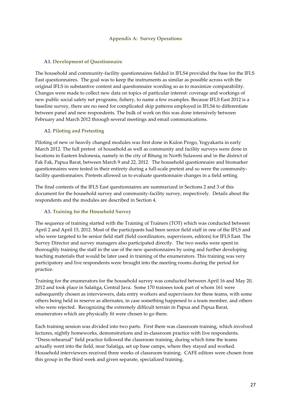#### **Appendix A: Survey Operations**

#### **A1. Development of Questionnaire**

The household and community-facility questionnaires fielded in IFLS4 provided the base for the IFLS East questionnaires. The goal was to keep the instruments as similar as possible across with the original IFLS in substantive content and questionnaire wording so as to maximize comparability. Changes were made to collect new data on topics of particular interest: coverage and workings of new public social safety net programs, fishery, to name a few examples. Because IFLS East 2012 is a baseline survey, there are no need for complicated skip patterns employed in IFLS4 to differentiate between panel and new respondents. The bulk of work on this was done intensively between February and March 2012 through several meetings and email communications.

#### **A2. Piloting and Pretesting**

Piloting of new or heavily changed modules was first done in Kulon Progo, Yogyakarta in early March 2012. The full pretest of household as well as community and facility surveys were done in locations in Eastern Indonesia, namely in the city of Bitung in North Sulawesi and in the district of Fak Fak, Papua Barat, between March 9 and 22, 2012. The household questionnaire and biomarker questionnaires were tested in their entirety during a full-scale pretest and so were the communityfacility questionnaires. Pretests allowed us to evaluate questionnaire changes in a field setting.

The final contents of the IFLS East questionnaires are summarized in Sections 2 and 3 of this document for the household survey and community-facility survey, respectively. Details about the respondents and the modules are described in Section 4.

#### **A3. Training for the Household Survey**

The sequence of training started with the Training of Trainers (TOT) which was conducted between April 2 and April 15, 2012. Most of the participants had been senior field staff in one of the IFLS and who were targeted to be senior field staff (field coordinators, supervisors, editors) for IFLS East. The Survey Director and survey managers also participated directly. The two weeks were spent in thoroughly training the staff in the use of the new questionnaires by using and further developing teaching materials that would be later used in training of the enumerators. This training was very participatory and live respondents were brought into the meeting rooms during the period for practice.

Training for the enumerators for the household survey was conducted between April 16 and May 20, 2012 and took place in Salatiga, Central Java. Some 170 trainees took part of whom 161 were subsequently chosen as interviewers, data entry workers and supervisors for these teams, with some others being held in reserve as alternates, in case something happened to a team member, and others who were rejected. Recognizing the extremely difficult terrain in Papua and Papua Barat, enumerators which are physically fit were chosen to go there.

Each training session was divided into two parts. First there was classroom training, which involved lectures, nightly homeworks, demonstrations and in-classroom practice with live respondents. "Dress-rehearsal" field practice followed the classroom training, during which time the teams actually went into the field, near Salatiga, set up base camps, where they stayed and worked. Household interviewers received three weeks of classroom training. CAFE editors were chosen from this group in the third week and given separate, specialized training.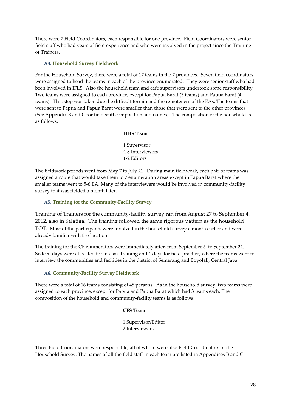There were 7 Field Coordinators, each responsible for one province. Field Coordinators were senior field staff who had years of field experience and who were involved in the project since the Training of Trainers.

#### **A4. Household Survey Fieldwork**

For the Household Survey, there were a total of 17 teams in the 7 provinces. Seven field coordinators were assigned to head the teams in each of the province enumerated. They were senior staff who had been involved in IFLS. Also the household team and café supervisors undertook some responsibility Two teams were assigned to each province, except for Papua Barat (3 teams) and Papua Barat (4 teams). This step was taken due the difficult terrain and the remoteness of the EAs. The teams that were sent to Papua and Papua Barat were smaller than those that were sent to the other provinces (See Appendix B and C for field staff composition and names). The composition of the household is as follows:

#### **HHS Team**

1 Supervisor 4-8 Interviewers 1-2 Editors

The fieldwork periods went from May 7 to July 21. During main fieldwork, each pair of teams was assigned a route that would take them to 7 enumeration areas except in Papua Barat where the smaller teams went to 5-6 EA. Many of the interviewers would be involved in community-facility survey that was fielded a month later.

#### **A5. Training for the Community-Facility Survey**

Training of Trainers for the community-facility survey ran from August 27 to September 4, 2012, also in Salatiga. The training followed the same rigorous pattern as the household TOT. Most of the participants were involved in the household survey a month earlier and were already familiar with the location.

The training for the CF enumerators were immediately after, from September 5 to September 24. Sixteen days were allocated for in-class training and 4 days for field practice, where the teams went to interview the communities and facilities in the district of Semarang and Boyolali, Central Java.

#### **A6. Community-Facility Survey Fieldwork**

There were a total of 16 teams consisting of 48 persons. As in the household survey, two teams were assigned to each province, except for Papua and Papua Barat which had 3 teams each. The composition of the household and community-facility teams is as follows:

#### **CFS Team**

1 Supervisor/Editor 2 Interviewers

Three Field Coordinators were responsible, all of whom were also Field Coordinators of the Household Survey. The names of all the field staff in each team are listed in Appendices B and C.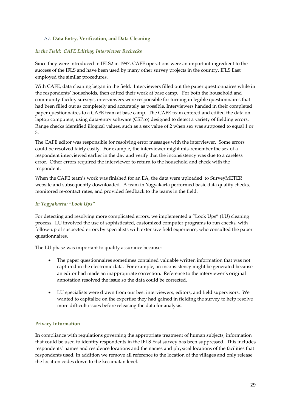#### A7. **Data Entry, Verification, and Data Cleaning**

#### *In the Field: CAFE Editing, Interviewer Rechecks*

Since they were introduced in IFLS2 in 1997, CAFE operations were an important ingredient to the success of the IFLS and have been used by many other survey projects in the country. IFLS East employed the similar procedures.

With CAFE, data cleaning began in the field. Interviewers filled out the paper questionnaires while in the respondents' households, then edited their work at base camp. For both the household and community-facility surveys, interviewers were responsible for turning in legible questionnaires that had been filled out as completely and accurately as possible. Interviewers handed in their completed paper questionnaires to a CAFE team at base camp. The CAFE team entered and edited the data on laptop computers, using data-entry software (CSPro) designed to detect a variety of fielding errors. Range checks identified illogical values, such as a sex value of 2 when sex was supposed to equal 1 or 3.

The CAFE editor was responsible for resolving error messages with the interviewer. Some errors could be resolved fairly easily. For example, the interviewer might mis-remember the sex of a respondent interviewed earlier in the day and verify that the inconsistency was due to a careless error. Other errors required the interviewer to return to the household and check with the respondent.

When the CAFE team's work was finished for an EA, the data were uploaded to SurveyMETER website and subsequently downloaded. A team in Yogyakarta performed basic data quality checks, monitored re-contact rates, and provided feedback to the teams in the field.

#### *In Yogyakarta: "Look Ups"*

For detecting and resolving more complicated errors, we implemented a "Look Ups" (LU) cleaning process. LU involved the use of sophisticated, customized computer programs to run checks, with follow-up of suspected errors by specialists with extensive field experience, who consulted the paper questionnaires.

The LU phase was important to quality assurance because:

- The paper questionnaires sometimes contained valuable written information that was not captured in the electronic data. For example, an inconsistency might be generated because an editor had made an inappropriate correction. Reference to the interviewer's original annotation resolved the issue so the data could be corrected.
- LU specialists were drawn from our best interviewers, editors, and field supervisors. We wanted to capitalize on the expertise they had gained in fielding the survey to help resolve more difficult issues before releasing the data for analysis.

#### **Privacy Information**

**In** compliance with regulations governing the appropriate treatment of human subjects, information that could be used to identify respondents in the IFLS East survey has been suppressed. This includes respondents' names and residence locations and the names and physical locations of the facilities that respondents used. In addition we remove all reference to the location of the villages and only release the location codes down to the kecamatan level.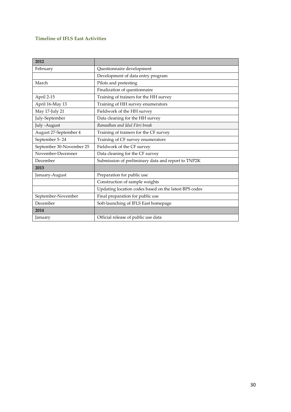### **Timeline of IFLS East Activities**

| 2012                     |                                                       |
|--------------------------|-------------------------------------------------------|
| February                 | Questionnaire development                             |
|                          | Development of data entry program                     |
| March                    | Pilots and pretesting                                 |
|                          | Finalization of questionnaire                         |
| April 2-15               | Training of trainers for the HH survey                |
| April 16-May 13          | Training of HH survey enumerators                     |
| May 17-July 21           | Fieldwork of the HH survey                            |
| July-September           | Data cleaning for the HH survey                       |
| July -August             | Ramadhan and Idul Fitri break                         |
| August 27-September 4    | Training of trainers for the CF survey                |
| September 5-24           | Training of CF survey enumerators                     |
| September 30-November 25 | Fieldwork of the CF survey                            |
| November-Decemner        | Data cleaning for the CF survey                       |
| December                 | Submission of preliminary data and report to TNP2K    |
| 2013                     |                                                       |
| January-August           | Preparation for public use                            |
|                          | Construction of sample weights                        |
|                          | Updating location codes based on the latest BPS codes |
| September-November       | Final preparation for public use                      |
| December                 | Soft-launching of IFLS East homepage                  |
| 2014                     |                                                       |
| January                  | Official release of public use data                   |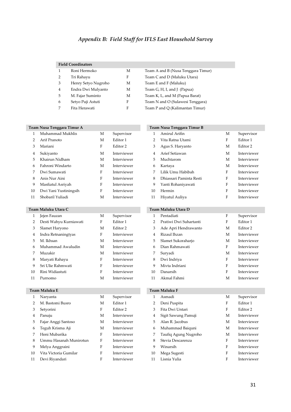### *Appendix B: Field Staff for IFLS East Household Survey*

#### **Field Coordinators**

|               | Roni Hermoko        | М | Team A and B (Nusa Tenggara Timur) |
|---------------|---------------------|---|------------------------------------|
| $\mathcal{P}$ | Tri Rahavu          | F | Team C and D (Maluku Utara)        |
| 3             | Henry Setyo Nugroho | M | Team E and F (Maluku)              |
| 4             | Endra Dwi Mulyanto  | M | Team G, H, I, and J (Papua)        |
| 5.            | M. Fajar Suminto    | М | Team K, L, and M (Papua Barat)     |
| 6             | Setyo Puji Astuti   | F | Team N and O (Sulawesi Tenggara)   |
| 7             | Fita Herawati       | F | Team P and Q (Kalimantan Timur)    |

| Team A and B (Nusa Tenggara Timur) |  |
|------------------------------------|--|
| Team C and D (Maluku Utara)        |  |
| Team E and F (Maluku)              |  |
| Team G, H, I, and J (Papua)        |  |

|    | Team Nusa Tenggara Timur A |   |                     |                | Team Nusa Tenggara Timur B |   |                     |
|----|----------------------------|---|---------------------|----------------|----------------------------|---|---------------------|
| 1  | Muhammad Mukhlis           | M | Supervisor          |                | Amirul Arifin              | М | Supervisor          |
| 2  | Arif Pranoto               | M | Editor 1            | $\overline{2}$ | Vita Ratna Utami           | F | Editor 1            |
| 3  | Mariani                    | F | Editor <sub>2</sub> | 3              | Agus S. Haryanto           | M | Editor 2            |
| 4  | Sukiyanto                  | M | Interviewer         | 4              | Arief Setiawan             | M | Interviewer         |
| 5  | Khairun Nidham             | M | Interviewer         | 5              | Muchtarom                  | M | Interviewer         |
| 6  | Fahroni Windarto           | M | Interviewer         | 6              | Kartaya                    | M | Interviewer         |
| 7  | Dwi Sumawati               | F | Interviewer         | 7              | Lilik Umu Habibah          | F | Interviewer         |
| 8  | Anis Nur Aini              | F | Interviewer         | 8              | Dhiassari Paminta Resti    | F | Interviewer         |
| 9  | Masfiatul Asriyah          | F | Interviewer         | 9              | Yanti Rohaniyawati         | F | Interviewer         |
| 10 | Dwi Yani Yustiningsih      | F | Interviewer         | 10             | Hermin                     | F | Interviewer         |
| 11 | Shobaril Yuliadi           | M | Interviewer         | 11             | Hiyatul Auliya             | F | Interviewer         |
|    |                            |   |                     |                |                            |   |                     |
|    | Team Maluku Utara C        |   |                     |                | Team Maluku Utara D        |   |                     |
| 1  | Jejen Fauzan               | M | Supervisor          |                | Pentadiati                 | F | Supervisor          |
| 2  | Desti Wahyu Kurniawati     | F | Editor 1            |                | Pratiwi Dwi Suhartanti     | F | Editor 1            |
| 3  | Slamet Haryono             | М | Editor <sub>2</sub> | 3              | Ade Apri Hendrawanto       | M | Editor <sub>2</sub> |

### **Team Nusa Tenggara Timur A Team Nusa Tenggara Timur B**

| 1  | Amirul Arifin           | М | Supervisor          |
|----|-------------------------|---|---------------------|
| 2  | Vita Ratna Utami        | F | Editor 1            |
| 3  | Agus S. Haryanto        | M | Editor <sub>2</sub> |
| 4  | Arief Setiawan          | M | Interviewer         |
| 5  | Muchtarom               | M | Interviewer         |
| 6  | Kartaya                 | M | Interviewer         |
| 7  | Lilik Umu Habibah       | F | Interviewer         |
| 8  | Dhiassari Paminta Resti | F | Interviewer         |
| 9  | Yanti Rohaniyawati      | F | Interviewer         |
| 10 | Hermin                  | F | Interviewer         |
| 11 | Hivatul Auliva          | F | Interviewer         |

#### **Team Maluku Utara C Team Maluku Utara D**

| $\mathbf{1}$ | Jejen Fauzan           | М | Supervisor          |    | Pentadiati             | F | Supervisor          |
|--------------|------------------------|---|---------------------|----|------------------------|---|---------------------|
| 2            | Desti Wahyu Kurniawati | F | Editor 1            | 2  | Pratiwi Dwi Suhartanti | F | Editor 1            |
| 3            | Slamet Haryono         | M | Editor <sub>2</sub> | 3  | Ade Apri Hendrawanto   | M | Editor <sub>2</sub> |
| 4            | Indra Retnaningtyas    | F | Interviewer         | 4  | Rizaul Ihzan           | М | Interviewer         |
| 5.           | M. Ikhsan              | M | Interviewer         | 5  | Slamet Sukoraharjo     | М | Interviewer         |
| 6            | Muhammad Awaludin      | M | Interviewer         | 6  | Dian Rahmawati         | F | Interviewer         |
| 7            | Muzakir                | M | Interviewer         |    | Suryadi                | M | Interviewer         |
| 8            | Maryati Rahayu         | F | Interviewer         | 8  | Dwi Indriya            | F | Interviewer         |
| 9            | Sri Ulie Rahmwati      | F | Interviewer         | 9  | Miyta Indriani         | F | Interviewer         |
| 10           | Rini Widiastuti        | F | Interviewer         | 10 | Danarsih               | F | Interviewer         |
| 11           | Purnomo                | M | Interviewer         | 11 | Akmal Fahmi            | M | Interviewer         |

| $\mathbf{1}$   | Narvanta               | М | Supervisor          |    | Asmadi               | М | Supervisor  |
|----------------|------------------------|---|---------------------|----|----------------------|---|-------------|
| 2              | M. Bastomi Busro       | М | Editor 1            | 2  | Deni Puspita         | F | Editor 1    |
| 3              | Setyorini              | F | Editor <sub>2</sub> | 3  | Fita Dwi Untari      | F | Editor 2    |
| $\overline{4}$ | Panuju                 | М | Interviewer         | 4  | Sigit Sawung Pamuji  | М | Interviewer |
| 5              | Fajar Anggi Santoso    | М | Interviewer         | 5  | Alan R. Jacobus      | М | Interviewer |
| 6              | Teguh Krisma Aji       | М | Interviewer         | 6  | Muhammad Baiquni     | М | Interviewer |
| 7              | Heni Mubarika          | F | Interviewer         |    | Taufiq Agung Nugroho | М | Interviewer |
| 8              | Ummu Hasanah Munirotun | F | Interviewer         | 8  | Stevia Descarenza    | F | Interviewer |
| 9              | Melya Anggraini        | F | Interviewer         | 9  | Winarsih             | F | Interviewer |
| 10             | Vita Victoria Gumilar  | F | Interviewer         | 10 | Mega Sugesti         | F | Interviewer |
| 11             | Devi Rivandari         | F | Interviewer         | 11 | Lisnia Yulia         | F | Interviewer |

#### **Team Maluku E Team Maluku E Team Maluku F Team Maluku F**

| 1              | Asmadi               | М | Supervisor          |
|----------------|----------------------|---|---------------------|
| $\overline{2}$ | Deni Puspita         | F | Editor 1            |
| 3              | Fita Dwi Untari      | F | Editor <sub>2</sub> |
| 4              | Sigit Sawung Pamuji  | M | Interviewer         |
| 5              | Alan R. Jacobus      | M | Interviewer         |
| 6              | Muhammad Baiquni     | M | Interviewer         |
| 7              | Taufiq Agung Nugroho | M | Interviewer         |
| 8              | Stevia Descarenza    | F | Interviewer         |
| 9              | Winarsih             | F | Interviewer         |
| 10             | Mega Sugesti         | F | Interviewer         |
| 11             | Lisnia Yulia         | F | Interviewer         |
|                |                      |   |                     |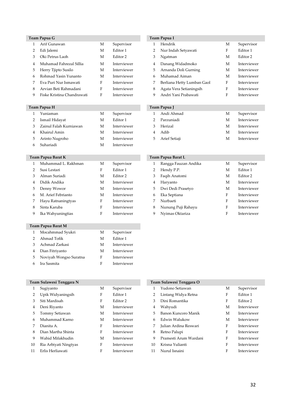|                | Team Papua G               |              |                     |                | Team Papua I               |         |                     |
|----------------|----------------------------|--------------|---------------------|----------------|----------------------------|---------|---------------------|
| 1              | Arif Gunawan               | М            | Supervisor          | $\mathbf{1}$   | Hendrik                    | M       | Supervisor          |
| $\overline{2}$ | Edi Jalemi                 | М            | Editor 1            | 2              | Nur Indah Setyawati        | F       | Editor 1            |
| 3              | Oki Petrus Laoh            | M            | Editor <sub>2</sub> | 3              | Ngatman                    | М       | Editor <sub>2</sub> |
| 4              | Muhamad Fahrezal Sillia    | M            | Interviewer         | 4              | Danang Widadmoko           | М       | Interviewer         |
| 5              | Herry Tjipto Susilo        | M            | Interviewer         | 5              | Arnanda Doli Gurning       | М       | Interviewer         |
| 6              | Rohmad Yasin Yunanto       | $\mathbf M$  | Interviewer         | 6              | Muhamad Aiman              | М       | Interviewer         |
| 7              | Eva Puri Nur Ismawati      | F            | Interviewer         | 7              | Berliana Hetty Lumban Gaol | F       | Interviewer         |
| 8              | Arvian Beti Rahmadani      | ${\rm F}$    | Interviewer         | 8              | Agata Vera Setianingsih    | $\rm F$ | Interviewer         |
| 9              | Fiske Kristina Chandrawati | F            | Interviewer         | 9              | Andri Yani Prabawati       | F       | Interviewer         |
|                | Team Papua H               |              |                     |                | Team Papua J               |         |                     |
| 1              | Yuniaman                   | M            | Supervisor          | $\mathbf{1}$   | Andi Ahmad                 | M       | Supervisor          |
| 2              | Ismail Hidayat             | M            | Editor 1            | $\overline{2}$ | Parzuniadi                 | M       | Interviewer         |
| 3              | Zainul Falah Kurniawan     | M            | Interviewer         | 3              | Herizal                    | M       | Interviewer         |
| 4              | Khairul Amin               | $\mathbf{M}$ | Interviewer         | 4              | Adib                       | М       | Interviewer         |
| 5              | Arinto Nugroho             | M            | Interviewer         | 5              | Arief Setiaji              | M       | Interviewer         |
| 6              | Suhariadi                  | М            | Interviewer         |                |                            |         |                     |
|                | Team Papua Barat K         |              |                     |                | Team Papua Barat L         |         |                     |
| 1              | Muhammad L. Rakhman        | M            | Supervisor          | 1              | Rangga Fauzan Andika       | М       | Supervisor          |
| $\overline{2}$ | Susi Lestari               | F            | Editor 1            | 2              | Hendy P.P.                 | М       | Editor 1            |
| 3              | Alman Suriadi              | M            | Editor <sub>2</sub> | 3              | Faqih Anatomi              | М       | Editor <sub>2</sub> |
| $\overline{4}$ | Didik Andika               | М            | Interviewer         | $\overline{4}$ | Haryanto                   | М       | Interviewer         |
| 5              | Denny Wowor                | M            | Interviewer         | 5              | Dwi Dedi Prasetyo          | M       | Interviewer         |
| 6              | M. Arief Febrianto         | М            | Interviewer         | 6              | Eka Septiana               | F       | Interviewer         |
| 7              | Hayu Ratnaningtyas         | $\rm F$      | Interviewer         | 7              | Nurbaeti                   | F       | Interviewer         |
| 8              | Sinta Karuba               | F            | Interviewer         | 8              | Nunung Puji Rahayu         | F       | Interviewer         |
| 9              | Ika Wahyuningtias          | F            | Interviewer         | 9              | Nyimas Oktariza            | F       | Interviewer         |
|                | Team Papua Barat M         |              |                     |                |                            |         |                     |
| 1              | Mocahmmad Syukri           | М            | Supervisor          |                |                            |         |                     |
| 2              | Ahmad Tofik                | M            | Editor 1            |                |                            |         |                     |
| 3              | Achmad Zarkasi             | M            | Interviewer         |                |                            |         |                     |
| $\overline{4}$ | Dian Fitriyanto            | M            | Interviewer         |                |                            |         |                     |
| 5              | Noviyah Wongso Suratna     | F            | Interviewer         |                |                            |         |                     |
| 6              | Ira Sasmita                | F            | Interviewer         |                |                            |         |                     |

#### **Team Papua I**

| 1 | Hendrik                    | M | Supervisor          |
|---|----------------------------|---|---------------------|
| 2 | Nur Indah Setyawati        | F | Editor 1            |
| 3 | Ngatman                    | M | Editor <sub>2</sub> |
| 4 | Danang Widadmoko           | M | Interviewer         |
| 5 | Arnanda Doli Gurning       | M | Interviewer         |
| 6 | Muhamad Aiman              | M | Interviewer         |
| 7 | Berliana Hetty Lumban Gaol | F | Interviewer         |
| 8 | Agata Vera Setianingsih    | F | Interviewer         |
| 9 | Andri Yani Prabawati       | F | Interviewer         |
|   |                            |   |                     |

#### **Team Papua H Team Papua J**

| Yuniaman                     | М | Supervisor  | Andi Ahmad      | М | Supervisor  |
|------------------------------|---|-------------|-----------------|---|-------------|
| 2 Ismail Hidayat             | М | Editor 1    | 2 Parzuniadi    | М | Interviewer |
| 3     Zainul Falah Kurniawan | М | Interviewer | 3 Herizal       | M | Interviewer |
| 4 Khairul Amin               | м | Interviewer | 4 Adib          | M | Interviewer |
| 5 Arinto Nugroho             | М | Interviewer | 5 Arief Setiaji | М | Interviewer |
|                              |   |             |                 |   |             |

#### **Team Papua Barat K Team Papua Barat L**

|    | Muhammad L. Rakhman  | М | Supervisor  |              | Rangga Fauzan Andika | М | Supervisor  |
|----|----------------------|---|-------------|--------------|----------------------|---|-------------|
| 2  | Susi Lestari         | F | Editor 1    | $\mathbf{2}$ | Hendy P.P.           | M | Editor 1    |
|    | 3 Alman Suriadi      | М | Editor 2    | 3            | Faqih Anatomi        | M | Editor 2    |
| 4  | Didik Andika         | М | Interviewer | 4            | Haryanto             | М | Interviewer |
|    | 5 Denny Wowor        | М | Interviewer | 5            | Dwi Dedi Prasetyo    | M | Interviewer |
|    | 6 M. Arief Febrianto | М | Interviewer | 6            | Eka Septiana         | F | Interviewer |
|    | 7 Hayu Ratnaningtyas | F | Interviewer |              | Nurbaeti             | F | Interviewer |
| 8. | Sinta Karuba         | F | Interviewer | 8            | Nunung Puji Rahayu   | F | Interviewer |
| 9. | Ika Wahyuningtias    | F | Interviewer | 9            | Nyimas Oktariza      | F | Interviewer |

|    | Team Sulawesi Tenggara N |   |                     |    | Team Sulawesi Tenggara O |
|----|--------------------------|---|---------------------|----|--------------------------|
| 1  | Sugiyanto                | М | Supervisor          |    | Yudono Setiawan          |
| 2  | Upik Widyaningsih        | F | Editor 1            | 2  | Lintang Widya Retna      |
| 3  | Siti Mardisah            | F | Editor <sub>2</sub> | 3  | Dini Romantika           |
| 4  | Deni Riyanto             | М | Interviewer         | 4  | Wahyudi                  |
| 5  | Tommy Setiawan           | М | Interviewer         | 5. | Banon Kuncoro Manik      |
| 6  | Muhammad Karno           | М | Interviewer         | 6  | Edwin Walukow            |
| 7  | Dianita A.               | F | Interviewer         |    | Julian Ardina Reswari    |
| 8  | Dian Martha Shinta       | F | Interviewer         | 8  | Retno Palupi             |
| 9  | Wahid Mifakhudin         | М | Interviewer         | 9  | Pramesti Arum Warda      |
| 10 | Ria Arbiyati Ningtyas    | F | Interviewer         | 10 | Krisna Yulianti          |
| 11 | Erlis Herliawati         | F | Interviewer         | 11 | Nurul Isnaini            |

| $\mathbf{1}$   | Sugiyanto             | М | Supervisor          |    | Yudono Setiawan       | М | Supervisor          |
|----------------|-----------------------|---|---------------------|----|-----------------------|---|---------------------|
| $\overline{2}$ | Upik Widyaningsih     | F | Editor 1            |    | Lintang Widya Retna   | F | Editor 1            |
| 3              | Siti Mardisah         | F | Editor <sub>2</sub> | 3. | Dini Romantika        | F | Editor <sub>2</sub> |
| 4              | Deni Riyanto          | М | Interviewer         | 4  | Wahyudi               | М | Interviewer         |
| 5              | Tommy Setiawan        | М | Interviewer         | 5. | Banon Kuncoro Manik   | М | Interviewer         |
| 6              | Muhammad Karno        | M | Interviewer         | 6  | Edwin Walukow         | М | Interviewer         |
| 7              | Dianita A.            | F | Interviewer         |    | Julian Ardina Reswari | F | Interviewer         |
| 8              | Dian Martha Shinta    | F | Interviewer         | 8  | Retno Palupi          | F | Interviewer         |
| 9              | Wahid Mifakhudin      | М | Interviewer         | 9  | Pramesti Arum Wardani | F | Interviewer         |
| 10             | Ria Arbiyati Ningtyas | F | Interviewer         | 10 | Krisna Yulianti       | F | Interviewer         |
| 11             | Erlis Herliawati      | F | Interviewer         | 11 | Nurul Isnaini         | F | Interviewer         |
|                |                       |   |                     |    |                       |   |                     |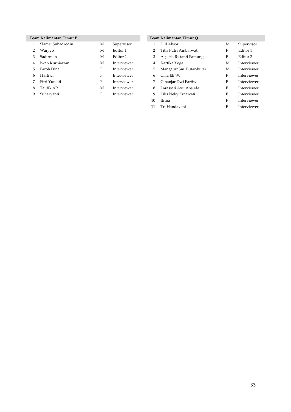#### **Team Kalimantan Timur P Team Kalimantan Timur Q**

|    | Slamet Subadrodin | М | Supervisor  |   | Ulil Absor                 | М | <b>Supervis</b>     |
|----|-------------------|---|-------------|---|----------------------------|---|---------------------|
|    | Warjiyo           | М | Editor 1    |   | Titis Putri Ambarwati      | F | Editor 1            |
|    | Sadirman          | M | Editor 2    | 3 | Agastia Ristanti Pamungkas | F | Editor <sub>2</sub> |
|    | Iwan Kurniawan    | М | Interviewer | 4 | Kartika Yoga               | М | Interviey           |
| 5  | Faroh Dina        | F | Interviewer | 5 | Mangatur Sm. Butar-butar   | M | Intervie            |
| 6. | Hartiwi           | F | Interviewer | 6 | Cilia Eli W.               | F | Intervie            |
|    | Fitri Yuniati     | F | Interviewer |   | Ginanjar Dwi Partiwi       | F | Interviey           |
| 8  | Taufik AR         | М | Interviewer | 8 | Larassati Ayu Ansuda       | F | Interviey           |
|    | Suharyanti        | F | Interviewer | 9 | Lilis Neky Ernawati        | F | Interviey           |
|    |                   |   |             |   |                            |   |                     |

|     | Slamet Subadrodin | M | Supervisor          |    | Ulil Absor                 | М | Supervisor  |
|-----|-------------------|---|---------------------|----|----------------------------|---|-------------|
|     | Warjiyo           | М | Editor 1            | 2  | Titis Putri Ambarwati      | F | Editor 1    |
| 3   | Sadirman          | М | Editor <sub>2</sub> | 3  | Agastia Ristanti Pamungkas | F | Editor 2    |
| 4   | Iwan Kurniawan    | М | Interviewer         | 4  | Kartika Yoga               | М | Interviewer |
| 5.  | Faroh Dina        | F | Interviewer         | 5  | Mangatur Sm. Butar-butar   | М | Interviewer |
| 6 — | Hartiwi           | F | Interviewer         | 6  | Cilia Eli W.               | F | Interviewer |
|     | Fitri Yuniati     | F | Interviewer         | 7  | Ginanjar Dwi Partiwi       | F | Interviewer |
| 8.  | Taufik AR         | M | Interviewer         | 8  | Larassati Ayu Ansuda       | F | Interviewer |
| 9.  | Suharyanti        | F | Interviewer         | 9  | Lilis Neky Ernawati        | F | Interviewer |
|     |                   |   |                     | 10 | Itrina                     | F | Interviewer |
|     |                   |   |                     | 11 | Tri Handayani              | F | Interviewer |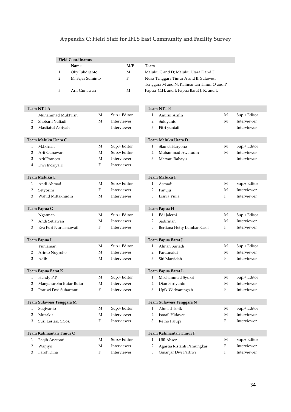### **Appendix C: Field Staff for IFLS East Community and Facility Survey**

|              |                          |              | <b>Field Coordinators</b> |             |              |                |                                            |             |              |
|--------------|--------------------------|--------------|---------------------------|-------------|--------------|----------------|--------------------------------------------|-------------|--------------|
|              |                          |              | Name                      |             | M/F          | Team           |                                            |             |              |
|              |                          | $\mathbf{1}$ | Oky Juhdijanto            |             | М            |                | Maluku C and D; Maluku Utara E and F       |             |              |
|              |                          | 2            | M. Fajar Suminto          |             | F            |                | Nusa Tenggara Timur A and B; Sulawesi      |             |              |
|              |                          |              |                           |             |              |                | Tenggara M and N; Kalimantan Timur O and P |             |              |
|              |                          | 3            | Arif Gunawan              |             | M            |                | Papua G,H, and I; Papua Barat J, K, and L  |             |              |
|              |                          |              |                           |             |              |                |                                            |             |              |
|              |                          |              |                           |             |              |                |                                            |             |              |
|              | <b>Team NTT A</b>        |              |                           |             |              |                | <b>Team NTT B</b>                          |             |              |
| $\mathbf{1}$ | Muhammad Mukhlish        |              |                           | М           | Sup.+ Editor | $\mathbf{1}$   | Amirul Arifin                              | М           | Sup.+ Editor |
| 2            | Shobaril Yuliadi         |              |                           | M           | Interviewer  | $\overline{2}$ | Sukiyanto                                  | M           | Interviewer  |
| 3            | Masfiatul Asriyah        |              |                           |             | Interviewer  | 3              | Fitri yuniati                              |             | Interviewer  |
|              |                          |              |                           |             |              |                |                                            |             |              |
|              | Team Maluku Utara C      |              |                           |             |              |                | Team Maluku Utara D                        |             |              |
| $\mathbf{1}$ | M.Ikhsan                 |              |                           | М           | Sup.+ Editor | $\mathbf{1}$   | Slamet Haryono                             | М           | Sup.+ Editor |
| 2            | Arif Gunawan             |              |                           | М           | Sup.+ Editor | 2              | Muhammad Awaludin                          | $\mathbf M$ | Interviewer  |
| 3            | Arif Pranoto             |              |                           | М           | Interviewer  | 3              | Maryati Rahayu                             |             | Interviewer  |
| 4            | Dwi Indriya K            |              |                           | F           | Interviewer  |                |                                            |             |              |
|              |                          |              |                           |             |              |                |                                            |             |              |
|              | Team Maluku E            |              |                           |             |              |                | Team Maluku F                              |             |              |
| 1            | Andi Ahmad               |              |                           | М           | Sup.+ Editor | 1              | Asmadi                                     | М           | Sup.+ Editor |
| 2            | Setyorini                |              |                           | F           | Interviewer  | 2              | Panuju                                     | M           | Interviewer  |
| 3            | Wahid Miftakhudin        |              |                           | М           | Interviewer  | 3              | Lisnia Yulia                               | F           | Interviewer  |
|              |                          |              |                           |             |              |                |                                            |             |              |
|              | Team Papua G             |              |                           |             |              |                | Team Papua H                               |             |              |
| 1            | Ngatman                  |              |                           | M           | Sup.+ Editor | 1              | Edi Jalerni                                | M           | Sup.+ Editor |
| 2            | Andi Setiawan            |              |                           | М           | Interviewer  | $\overline{2}$ | Sadirman                                   | М           | Interviewer  |
| 3            | Eva Puri Nur Ismawati    |              |                           | F           | Interviewer  | 3              | Berliana Hetty Lumban Gaol                 | F           | Interviewer  |
|              |                          |              |                           |             |              |                |                                            |             |              |
|              | Team Papua I             |              |                           |             |              |                | Team Papua Barat J                         |             |              |
| $\mathbf{1}$ | Yuniaman                 |              |                           | М           | Sup.+ Editor | 1              | Alman Suriadi                              | М           | Sup.+ Editor |
| 2            | Arinto Nugroho           |              |                           | M           | Interviewer  | 2              | Parzunaidi                                 | $\mathbf M$ | Interviewer  |
| 3            | Adib                     |              |                           | М           | Interviewer  | 3              | Siti Marsidah                              | F           | Interviewer  |
|              |                          |              |                           |             |              |                |                                            |             |              |
|              | Team Papua Barat K       |              |                           |             |              |                | Team Papua Barat L                         |             |              |
| 1            | Hendy P.P                |              |                           | $\mathbf M$ | Sup.+ Editor | $\mathbf{1}$   | Mochammad Syukri                           | $\mathbf M$ | Sup.+ Editor |
| 2            | Mangatur Sm Butar-Butar  |              |                           | М           | Interviewer  | 2              | Dian Fitriyanto                            | M           | Interviewer  |
| 3            | Pratiwi Dwi Suhartanti   |              |                           | F           | Interviewer  | 3              | Upik Widyaningsih                          | F           | Interviewer  |
|              |                          |              |                           |             |              |                |                                            |             |              |
|              | Team Sulawesi Tenggara M |              |                           |             |              |                | Team Sulawesi Tenggara N                   |             |              |
| $\mathbf{1}$ | Sugiyanto                |              |                           | M           | Sup.+ Editor | 1              | Ahmad Tofik                                | М           | Sup.+ Editor |
| 2            | Muzakir                  |              |                           | $\mathbf M$ | Interviewer  | 2              | Ismail Hidayat                             | M           | Interviewer  |
| 3            | Susi Lestari, S.Sos.     |              |                           | F           | Interviewer  | 3              | Retno Palupi                               | F           | Interviewer  |
|              |                          |              |                           |             |              |                |                                            |             |              |
|              | Team Kalimantan Timur O  |              |                           |             |              |                | Team Kalimantan Timur P                    |             |              |
| $\mathbf{1}$ | Faqih Anatomi            |              |                           | М           | Sup.+ Editor | 1              | Ulil Absor                                 | М           | Sup.+ Editor |
| 2            | Warjiyo                  |              |                           | М           | Interviewer  | 2              | Agastia Ristanti Pamungkas                 | F           | Interviewer  |
| 3            | Faroh Dina               |              |                           | $\mathbf F$ | Interviewer  | 3              | Ginanjar Dwi Partiwi                       | F           | Interviewer  |
|              |                          |              |                           |             |              |                |                                            |             |              |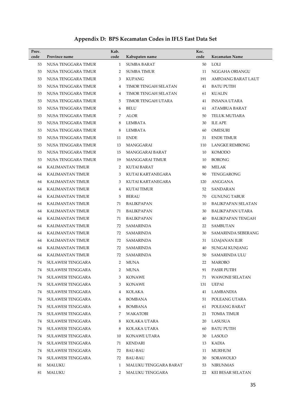## **Appendix D: BPS Kecamatan Codes in IFLS East Data Set**

| Prov.<br>code | Province name           | Kab.<br>code | Kabupaten name         | Kec.<br>code | Kecamatan Name            |
|---------------|-------------------------|--------------|------------------------|--------------|---------------------------|
| 53            | NUSA TENGGARA TIMUR     | $\mathbf{1}$ | SUMBA BARAT            | 50           | <b>LOLI</b>               |
| 53            | NUSA TENGGARA TIMUR     | 2            | SUMBA TIMUR            | 11           | NGGAHA ORIANGU            |
| 53            | NUSA TENGGARA TIMUR     | 3            | <b>KUPANG</b>          | 191          | AMFOANG BARAT LAUT        |
| 53            | NUSA TENGGARA TIMUR     | 4            | TIMOR TENGAH SELATAN   | 41           | <b>BATU PUTIH</b>         |
| 53            | NUSA TENGGARA TIMUR     | 4            | TIMOR TENGAH SELATAN   | 61           | <b>KUALIN</b>             |
| 53            | NUSA TENGGARA TIMUR     | 5            | TIMOR TENGAH UTARA     | 41           | <b>INSANA UTARA</b>       |
| 53            | NUSA TENGGARA TIMUR     | 6            | <b>BELU</b>            | 61           | ATAMBUA BARAT             |
| 53            | NUSA TENGGARA TIMUR     | 7            | ALOR                   | 50           | TELUK MUTIARA             |
| 53            | NUSA TENGGARA TIMUR     | 8            | LEMBATA                | 30           | <b>ILE APE</b>            |
| 53            | NUSA TENGGARA TIMUR     | 8            | LEMBATA                | 60           | OMESURI                   |
| 53            | NUSA TENGGARA TIMUR     | 11           | <b>ENDE</b>            | 31           | <b>ENDE TIMUR</b>         |
| 53            | NUSA TENGGARA TIMUR     | 13           | MANGGARAI              | 110          | <b>LANGKE REMBONG</b>     |
| 53            | NUSA TENGGARA TIMUR     | 15           | MANGGARAI BARAT        | 10           | KOMODO                    |
| 53            | NUSA TENGGARA TIMUR     | 19           | <b>MANGGARAI TIMUR</b> | 10           | <b>BORONG</b>             |
| 64            | KALIMANTAN TIMUR        | 2            | KUTAI BARAT            | 80           | MELAK                     |
| 64            | <b>KALIMANTAN TIMUR</b> | 3            | KUTAI KARTANEGARA      | 90           | <b>TENGGARONG</b>         |
| 64            | KALIMANTAN TIMUR        | 3            | KUTAI KARTANEGARA      | 120          | ANGGANA                   |
| 64            | KALIMANTAN TIMUR        | 4            | <b>KUTAI TIMUR</b>     | 52           | SANDARAN                  |
| 64            | KALIMANTAN TIMUR        | 5            | BERAU                  | 70           | <b>GUNUNG TABUR</b>       |
| 64            | KALIMANTAN TIMUR        | 71           | BALIKPAPAN             | 10           | <b>BALIKPAPAN SELATAN</b> |
| 64            | KALIMANTAN TIMUR        | 71           | BALIKPAPAN             | 30           | BALIKPAPAN UTARA          |
| 64            | KALIMANTAN TIMUR        | 71           | BALIKPAPAN             | 40           | BALIKPAPAN TENGAH         |
| 64            | KALIMANTAN TIMUR        | 72           | SAMARINDA              | 22           | SAMBUTAN                  |
| 64            | KALIMANTAN TIMUR        | 72           | SAMARINDA              | 30           | SAMARINDA SEBERANG        |
| 64            | KALIMANTAN TIMUR        | 72           | SAMARINDA              | 31           | LOAJANAN ILIR             |
| 64            | <b>KALIMANTAN TIMUR</b> | 72           | SAMARINDA              | 40           | SUNGAI KUNJANG            |
| 64            | KALIMANTAN TIMUR        | 72           | <b>SAMARINDA</b>       | 50           | SAMARINDA ULU             |
| 74            | SULAWESI TENGGARA       | 2            | <b>MUNA</b>            | 22           | <b>MAROBO</b>             |
| 74            | SULAWESI TENGGARA       | $\mathbf{2}$ | MUNA                   | 91           | <b>PASIR PUTIH</b>        |
| 74            | SULAWESI TENGGARA       | 3            | <b>KONAWE</b>          | 71           | <b>WAWONII SELATAN</b>    |
| 74            | SULAWESI TENGGARA       | 3            | <b>KONAWE</b>          | 131          | UEPAI                     |
| 74            | SULAWESI TENGGARA       | 4            | KOLAKA                 | 41           | LAMBANDIA                 |
| 74            | SULAWESI TENGGARA       | 6            | <b>BOMBANA</b>         | 51           | POLEANG UTARA             |
| 74            | SULAWESI TENGGARA       | 6            | <b>BOMBANA</b>         | 61           | POLEANG BARAT             |
| 74            | SULAWESI TENGGARA       | 7            | WAKATOBI               | 21           | <b>TOMIA TIMUR</b>        |
| 74            | SULAWESI TENGGARA       | 8            | KOLAKA UTARA           | 20           | <b>LASUSUA</b>            |
| 74            | SULAWESI TENGGARA       | 8            | KOLAKA UTARA           | 60           | <b>BATU PUTIH</b>         |
| 74            | SULAWESI TENGGARA       | 10           | KONAWE UTARA           | 30           | LASOLO                    |
| 74            | SULAWESI TENGGARA       | 71           | KENDARI                | 13           | KADIA                     |
| 74            | SULAWESI TENGGARA       | 72           | <b>BAU-BAU</b>         | 11           | <b>MURHUM</b>             |
| 74            | SULAWESI TENGGARA       | 72           | BAU-BAU                | 30           | SORAWOLIO                 |
| 81            | MALUKU                  | 1            | MALUKU TENGGARA BARAT  | 53           | NIRUNMAS                  |
| 81            | MALUKU                  | 2            | MALUKU TENGGARA        | 22           | KEI BESAR SELATAN         |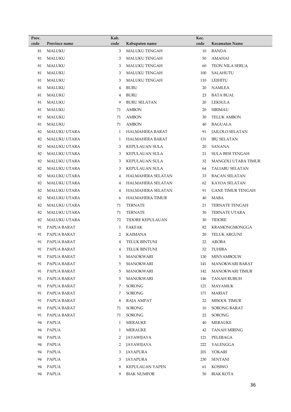| Prov. |                     | Kab. |                         | Kec. |                          |
|-------|---------------------|------|-------------------------|------|--------------------------|
| code  | Province name       | code | Kabupaten name          | code | Kecamatan Name           |
| 81    | <b>MALUKU</b>       | 3    | <b>MALUKU TENGAH</b>    | 10   | <b>BANDA</b>             |
| 81    | <b>MALUKU</b>       | 3    | <b>MALUKU TENGAH</b>    | 50   | <b>AMAHAI</b>            |
| 81    | <b>MALUKU</b>       | 3    | <b>MALUKU TENGAH</b>    | 60   | <b>TEON NILA SERUA</b>   |
| 81    | <b>MALUKU</b>       | 3    | <b>MALUKU TENGAH</b>    | 100  | SALAHUTU                 |
| 81    | <b>MALUKU</b>       | 3    | <b>MALUKU TENGAH</b>    | 110  | <b>LEIHITU</b>           |
| 81    | <b>MALUKU</b>       | 4    | <b>BURU</b>             | 20   | <b>NAMLEA</b>            |
| 81    | MALUKU              | 4    | <b>BURU</b>             | 23   | <b>BATA BUAL</b>         |
| 81    | <b>MALUKU</b>       | 9    | <b>BURU SELATAN</b>     | 20   | <b>LEKSULA</b>           |
| 81    | MALUKU              | 71   | <b>AMBON</b>            | 20   | <b>SIRIMAU</b>           |
| 81    | <b>MALUKU</b>       | 71   | <b>AMBON</b>            | 30   | <b>TELUK AMBON</b>       |
| 81    | MALUKU              | 71   | <b>AMBON</b>            | 40   | <b>BAGUALA</b>           |
| 82    | <b>MALUKU UTARA</b> | 1    | HALMAHERA BARAT         | 91   | <b>JAILOLO SELATAN</b>   |
| 82    | <b>MALUKU UTARA</b> | 1    | HALMAHERA BARAT         | 131  | <b>IBU SELATAN</b>       |
| 82    | <b>MALUKU UTARA</b> | 3    | KEPULAUAN SULA          | 20   | SANANA                   |
| 82    | MALUKU UTARA        | 3    | KEPULAUAN SULA          | 21   | <b>SULA BESI TENGAH</b>  |
| 82    | <b>MALUKU UTARA</b> | 3    | <b>KEPULAUAN SULA</b>   | 32   | MANGOLI UTARA TIMUR      |
| 82    | MALUKU UTARA        | 3    | <b>KEPULAUAN SULA</b>   | 64   | <b>TALIABU SELATAN</b>   |
| 82    | MALUKU UTARA        | 4    | HALMAHERA SELATAN       | 33   | <b>BACAN SELATAN</b>     |
| 82    | MALUKU UTARA        | 4    | HALMAHERA SELATAN       | 62   | KAYOA SELATAN            |
| 82    | MALUKU UTARA        | 4    | HALMAHERA SELATAN       | 91   | <b>GANE TIMUR TENGAH</b> |
| 82    | MALUKU UTARA        | 6    | HALMAHERA TIMUR         | 40   | MABA                     |
| 82    | MALUKU UTARA        | 71   | <b>TERNATE</b>          | 21   | <b>TERNATE TENGAH</b>    |
| 82    | MALUKU UTARA        | 71   | <b>TERNATE</b>          | 30   | TERNATE UTARA            |
| 82    | MALUKU UTARA        | 72   | <b>TIDORE KEPULAUAN</b> | 30   | <b>TIDORE</b>            |
| 91    | PAPUA BARAT         | 1    | <b>FAKFAK</b>           | 82   | KRAMONGMONGGA            |
| 91    | PAPUA BARAT         | 2    | <b>KAIMANA</b>          | 20   | <b>TELUK ARGUNI</b>      |
| 91    | PAPUA BARAT         | 4    | TELUK BINTUNI           | 22   | <b>AROBA</b>             |
| 91    | PAPUA BARAT         | 4    | TELUK BINTUNI           | 52   | <b>TUHIBA</b>            |
| 91    | PAPUA BARAT         |      | 5 MANOKWARI             |      | 130 MINYAMBOUW           |
| 91    | PAPUA BARAT         | 5    | MANOKWARI               | 141  | <b>MANOKWARI BARAT</b>   |
| 91    | PAPUA BARAT         | 5    | MANOKWARI               | 142  | <b>MANOKWARI TIMUR</b>   |
| 91    | PAPUA BARAT         | 5    | MANOKWARI               | 146  | TANAH RUBUH              |
| 91    | PAPUA BARAT         | 7    | <b>SORONG</b>           | 121  | <b>MAYAMUK</b>           |
| 91    | PAPUA BARAT         | 7    | <b>SORONG</b>           | 171  | <b>MARIAT</b>            |
| 91    | PAPUA BARAT         | 8    | RAJA AMPAT              | 22   | MISOOL TIMUR             |
| 91    | PAPUA BARAT         | 71   | <b>SORONG</b>           | 10   | <b>SORONG BARAT</b>      |
| 91    | PAPUA BARAT         | 71   | <b>SORONG</b>           | 22   | SORONG                   |
| 94    | PAPUA               | 1    | <b>MERAUKE</b>          | 40   | <b>MERAUKE</b>           |
| 94    | PAPUA               | 1    | <b>MERAUKE</b>          | 42   | TANAH MIRING             |
| 94    | PAPUA               | 2    | JAYAWIJAYA              | 121  | PELEBAGA                 |
| 94    | PAPUA               | 2    | JAYAWIJAYA              | 222  | YALENGGA                 |
| 94    | <b>PAPUA</b>        | 3    | JAYAPURA                | 201  | YOKARI                   |
| 94    | PAPUA               | 3    | JAYAPURA                | 230  | <b>SENTANI</b>           |
| 94    | <b>PAPUA</b>        | 8    | <b>KEPULAUAN YAPEN</b>  | 61   | KOSIWO                   |
| 94    | PAPUA               | 9    | <b>BIAK NUMFOR</b>      | 50   | BIAK KOTA                |